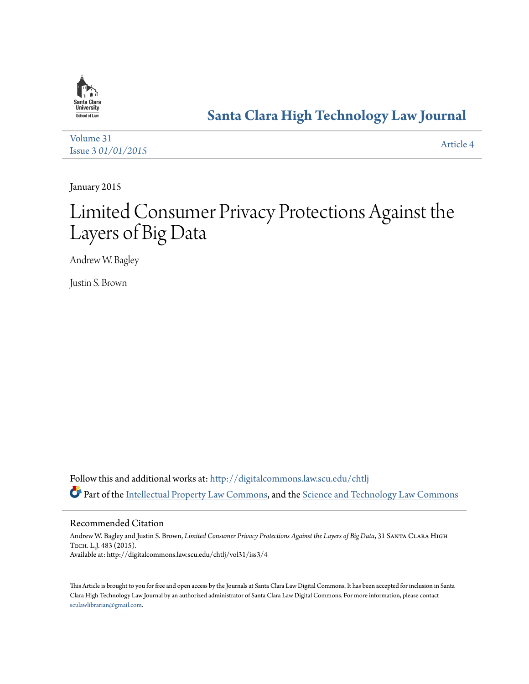

# **[Santa Clara High Technology Law Journal](http://digitalcommons.law.scu.edu/chtlj?utm_source=digitalcommons.law.scu.edu%2Fchtlj%2Fvol31%2Fiss3%2F4&utm_medium=PDF&utm_campaign=PDFCoverPages)**

[Volume 31](http://digitalcommons.law.scu.edu/chtlj/vol31?utm_source=digitalcommons.law.scu.edu%2Fchtlj%2Fvol31%2Fiss3%2F4&utm_medium=PDF&utm_campaign=PDFCoverPages) Issue 3 *[01/01/2015](http://digitalcommons.law.scu.edu/chtlj/vol31/iss3?utm_source=digitalcommons.law.scu.edu%2Fchtlj%2Fvol31%2Fiss3%2F4&utm_medium=PDF&utm_campaign=PDFCoverPages)* [Article 4](http://digitalcommons.law.scu.edu/chtlj/vol31/iss3/4?utm_source=digitalcommons.law.scu.edu%2Fchtlj%2Fvol31%2Fiss3%2F4&utm_medium=PDF&utm_campaign=PDFCoverPages)

January 2015

# Limited Consumer Privacy Protections Against the Layers of Big Data

Andrew W. Bagley

Justin S. Brown

Follow this and additional works at: [http://digitalcommons.law.scu.edu/chtlj](http://digitalcommons.law.scu.edu/chtlj?utm_source=digitalcommons.law.scu.edu%2Fchtlj%2Fvol31%2Fiss3%2F4&utm_medium=PDF&utm_campaign=PDFCoverPages) Part of the [Intellectual Property Law Commons,](http://network.bepress.com/hgg/discipline/896?utm_source=digitalcommons.law.scu.edu%2Fchtlj%2Fvol31%2Fiss3%2F4&utm_medium=PDF&utm_campaign=PDFCoverPages) and the [Science and Technology Law Commons](http://network.bepress.com/hgg/discipline/875?utm_source=digitalcommons.law.scu.edu%2Fchtlj%2Fvol31%2Fiss3%2F4&utm_medium=PDF&utm_campaign=PDFCoverPages)

Recommended Citation

Andrew W. Bagley and Justin S. Brown, *Limited Consumer Privacy Protections Against the Layers of Big Data*, 31 Santa Clara High Tech. L.J. 483 (2015). Available at: http://digitalcommons.law.scu.edu/chtlj/vol31/iss3/4

This Article is brought to you for free and open access by the Journals at Santa Clara Law Digital Commons. It has been accepted for inclusion in Santa Clara High Technology Law Journal by an authorized administrator of Santa Clara Law Digital Commons. For more information, please contact [sculawlibrarian@gmail.com](mailto:sculawlibrarian@gmail.com).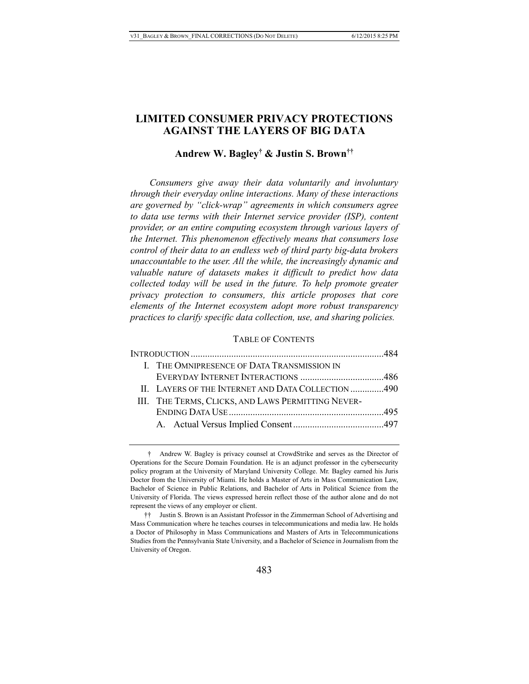# **LIMITED CONSUMER PRIVACY PROTECTIONS AGAINST THE LAYERS OF BIG DATA**

# **Andrew W. Bagley† & Justin S. Brown††**

*Consumers give away their data voluntarily and involuntary through their everyday online interactions. Many of these interactions are governed by "click-wrap" agreements in which consumers agree to data use terms with their Internet service provider (ISP), content provider, or an entire computing ecosystem through various layers of the Internet. This phenomenon effectively means that consumers lose control of their data to an endless web of third party big-data brokers unaccountable to the user. All the while, the increasingly dynamic and valuable nature of datasets makes it difficult to predict how data collected today will be used in the future. To help promote greater privacy protection to consumers, this article proposes that core elements of the Internet ecosystem adopt more robust transparency practices to clarify specific data collection, use, and sharing policies.*

#### TABLE OF CONTENTS

|  | I. THE OMNIPRESENCE OF DATA TRANSMISSION IN        |  |  |
|--|----------------------------------------------------|--|--|
|  |                                                    |  |  |
|  | II. LAYERS OF THE INTERNET AND DATA COLLECTION 490 |  |  |
|  | III. THE TERMS, CLICKS, AND LAWS PERMITTING NEVER- |  |  |
|  |                                                    |  |  |
|  |                                                    |  |  |

<sup>†</sup> Andrew W. Bagley is privacy counsel at CrowdStrike and serves as the Director of Operations for the Secure Domain Foundation. He is an adjunct professor in the cybersecurity policy program at the University of Maryland University College. Mr. Bagley earned his Juris Doctor from the University of Miami. He holds a Master of Arts in Mass Communication Law, Bachelor of Science in Public Relations, and Bachelor of Arts in Political Science from the University of Florida. The views expressed herein reflect those of the author alone and do not represent the views of any employer or client.

<sup>††</sup> Justin S. Brown is an Assistant Professor in the Zimmerman School of Advertising and Mass Communication where he teaches courses in telecommunications and media law. He holds a Doctor of Philosophy in Mass Communications and Masters of Arts in Telecommunications Studies from the Pennsylvania State University, and a Bachelor of Science in Journalism from the University of Oregon.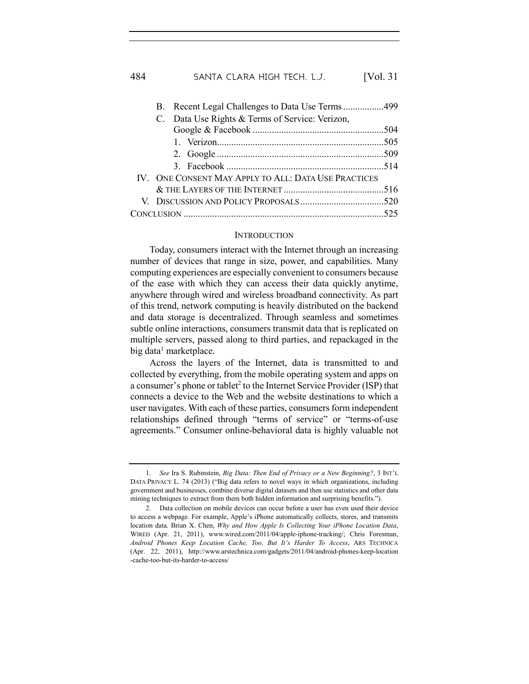|                                                 |  | B. Recent Legal Challenges to Data Use Terms 499     |  |
|-------------------------------------------------|--|------------------------------------------------------|--|
| C. Data Use Rights & Terms of Service: Verizon, |  |                                                      |  |
|                                                 |  |                                                      |  |
|                                                 |  |                                                      |  |
|                                                 |  |                                                      |  |
|                                                 |  |                                                      |  |
|                                                 |  | IV. ONE CONSENT MAY APPLY TO ALL: DATA USE PRACTICES |  |
|                                                 |  |                                                      |  |
|                                                 |  |                                                      |  |
|                                                 |  |                                                      |  |
|                                                 |  |                                                      |  |

#### **INTRODUCTION**

Today, consumers interact with the Internet through an increasing number of devices that range in size, power, and capabilities. Many computing experiences are especially convenient to consumers because of the ease with which they can access their data quickly anytime, anywhere through wired and wireless broadband connectivity. As part of this trend, network computing is heavily distributed on the backend and data storage is decentralized. Through seamless and sometimes subtle online interactions, consumers transmit data that is replicated on multiple servers, passed along to third parties, and repackaged in the big data<sup>1</sup> marketplace.

Across the layers of the Internet, data is transmitted to and collected by everything, from the mobile operating system and apps on a consumer's phone or tablet<sup>2</sup> to the Internet Service Provider (ISP) that connects a device to the Web and the website destinations to which a user navigates. With each of these parties, consumers form independent relationships defined through "terms of service" or "terms-of-use agreements." Consumer online-behavioral data is highly valuable not

<sup>1.</sup> *See* Ira S. Rubinstein, *Big Data: Then End of Privacy or a New Beginning?*, 3 INT'L DATA PRIVACY L. 74 (2013) ("Big data refers to novel ways in which organizations, including government and businesses, combine diverse digital datasets and then use statistics and other data mining techniques to extract from them both hidden information and surprising benefits.").

<sup>2.</sup> Data collection on mobile devices can occur before a user has even used their device to access a webpage. For example, Apple's iPhone automatically collects, stores, and transmits location data. Brian X. Chen, *Why and How Apple Is Collecting Your iPhone Location Data*, WIRED (Apr. 21, 2011), www.wired.com/2011/04/apple-iphone-tracking/; Chris Foresman, *Android Phones Keep Location Cache, Too, But It's Harder To Access*, ARS TECHNICA (Apr. 22, 2011), http://www.arstechnica.com/gadgets/2011/04/android-phones-keep-location -cache-too-but-its-harder-to-access/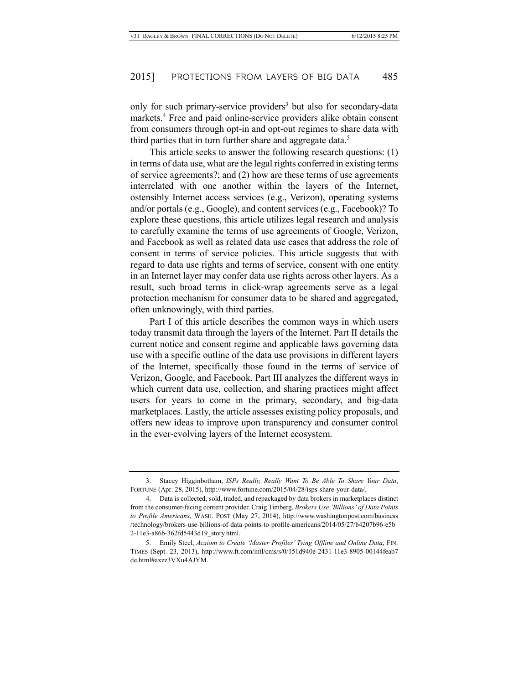only for such primary-service providers<sup>3</sup> but also for secondary-data markets.<sup>4</sup> Free and paid online-service providers alike obtain consent from consumers through opt-in and opt-out regimes to share data with third parties that in turn further share and aggregate data.<sup>5</sup>

This article seeks to answer the following research questions: (1) in terms of data use, what are the legal rights conferred in existing terms of service agreements?; and (2) how are these terms of use agreements interrelated with one another within the layers of the Internet, ostensibly Internet access services (e.g., Verizon), operating systems and/or portals (e.g., Google), and content services (e.g., Facebook)? To explore these questions, this article utilizes legal research and analysis to carefully examine the terms of use agreements of Google, Verizon, and Facebook as well as related data use cases that address the role of consent in terms of service policies. This article suggests that with regard to data use rights and terms of service, consent with one entity in an Internet layer may confer data use rights across other layers. As a result, such broad terms in click-wrap agreements serve as a legal protection mechanism for consumer data to be shared and aggregated, often unknowingly, with third parties.

Part I of this article describes the common ways in which users today transmit data through the layers of the Internet. Part II details the current notice and consent regime and applicable laws governing data use with a specific outline of the data use provisions in different layers of the Internet, specifically those found in the terms of service of Verizon, Google, and Facebook. Part III analyzes the different ways in which current data use, collection, and sharing practices might affect users for years to come in the primary, secondary, and big-data marketplaces. Lastly, the article assesses existing policy proposals, and offers new ideas to improve upon transparency and consumer control in the ever-evolving layers of the Internet ecosystem.

<sup>3.</sup> Stacey Higginbotham, *ISPs Really, Really Want To Be Able To Share Your Data*, FORTUNE (Apr. 28, 2015), http://www.fortune.com/2015/04/28/isps-share-your-data/.

<sup>4.</sup> Data is collected, sold, traded, and repackaged by data brokers in marketplaces distinct from the consumer-facing content provider. Craig Timberg, *Brokers Use 'Billions' of Data Points to Profile Americans*, WASH. POST (May 27, 2014), http://www.washingtonpost.com/business /technology/brokers-use-billions-of-data-points-to-profile-americans/2014/05/27/b4207b96-e5b 2-11e3-a86b-362fd5443d19\_story.html.

<sup>5.</sup> Emily Steel, *Acxiom to Create 'Master Profiles' Tying Offline and Online Data*, FIN. TIMES (Sept. 23, 2013), http://www.ft.com/intl/cms/s/0/151d940e-2431-11e3-8905-00144feab7 de.html#axzz3VXu4AJYM.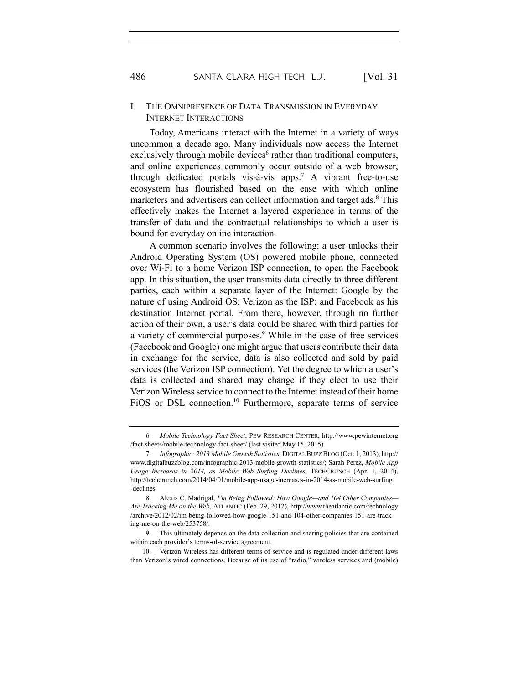# I. THE OMNIPRESENCE OF DATA TRANSMISSION IN EVERYDAY INTERNET INTERACTIONS

Today, Americans interact with the Internet in a variety of ways uncommon a decade ago. Many individuals now access the Internet exclusively through mobile devices<sup>6</sup> rather than traditional computers, and online experiences commonly occur outside of a web browser, through dedicated portals vis-à-vis apps.7 A vibrant free-to-use ecosystem has flourished based on the ease with which online marketers and advertisers can collect information and target ads.<sup>8</sup> This effectively makes the Internet a layered experience in terms of the transfer of data and the contractual relationships to which a user is bound for everyday online interaction.

A common scenario involves the following: a user unlocks their Android Operating System (OS) powered mobile phone, connected over Wi-Fi to a home Verizon ISP connection, to open the Facebook app. In this situation, the user transmits data directly to three different parties, each within a separate layer of the Internet: Google by the nature of using Android OS; Verizon as the ISP; and Facebook as his destination Internet portal. From there, however, through no further action of their own, a user's data could be shared with third parties for a variety of commercial purposes.<sup>9</sup> While in the case of free services (Facebook and Google) one might argue that users contribute their data in exchange for the service, data is also collected and sold by paid services (the Verizon ISP connection). Yet the degree to which a user's data is collected and shared may change if they elect to use their Verizon Wireless service to connect to the Internet instead of their home FiOS or DSL connection.<sup>10</sup> Furthermore, separate terms of service

<sup>6.</sup> *Mobile Technology Fact Sheet*, PEW RESEARCH CENTER, http://www.pewinternet.org /fact-sheets/mobile-technology-fact-sheet/ (last visited May 15, 2015).

<sup>7.</sup> *Infographic: 2013 Mobile Growth Statistics*, DIGITAL BUZZ BLOG (Oct. 1, 2013), http:// www.digitalbuzzblog.com/infographic-2013-mobile-growth-statistics/; Sarah Perez, *Mobile App Usage Increases in 2014, as Mobile Web Surfing Declines*, TECHCRUNCH (Apr. 1, 2014), http://techcrunch.com/2014/04/01/mobile-app-usage-increases-in-2014-as-mobile-web-surfing -declines.

<sup>8.</sup> Alexis C. Madrigal, *I'm Being Followed: How Google—and 104 Other Companies— Are Tracking Me on the Web*, ATLANTIC (Feb. 29, 2012), http://www.theatlantic.com/technology /archive/2012/02/im-being-followed-how-google-151-and-104-other-companies-151-are-track ing-me-on-the-web/253758/.

<sup>9.</sup> This ultimately depends on the data collection and sharing policies that are contained within each provider's terms-of-service agreement.

<sup>10.</sup> Verizon Wireless has different terms of service and is regulated under different laws than Verizon's wired connections. Because of its use of "radio," wireless services and (mobile)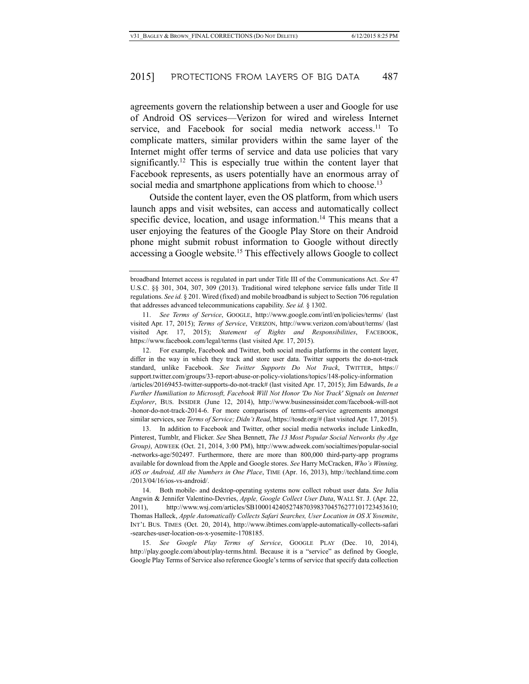agreements govern the relationship between a user and Google for use of Android OS services—Verizon for wired and wireless Internet service, and Facebook for social media network access.<sup>11</sup> To complicate matters, similar providers within the same layer of the Internet might offer terms of service and data use policies that vary significantly.<sup>12</sup> This is especially true within the content layer that Facebook represents, as users potentially have an enormous array of social media and smartphone applications from which to choose.<sup>13</sup>

Outside the content layer, even the OS platform, from which users launch apps and visit websites, can access and automatically collect specific device, location, and usage information.<sup>14</sup> This means that a user enjoying the features of the Google Play Store on their Android phone might submit robust information to Google without directly accessing a Google website.15 This effectively allows Google to collect

12. For example, Facebook and Twitter, both social media platforms in the content layer, differ in the way in which they track and store user data. Twitter supports the do-not-track standard, unlike Facebook. *See Twitter Supports Do Not Track*, TWITTER, https:// support.twitter.com/groups/33-report-abuse-or-policy-violations/topics/148-policy-information /articles/20169453-twitter-supports-do-not-track# (last visited Apr. 17, 2015); Jim Edwards, *In a Further Humiliation to Microsoft, Facebook Will Not Honor 'Do Not Track' Signals on Internet Explorer*, BUS. INSIDER (June 12, 2014), http://www.businessinsider.com/facebook-will-not -honor-do-not-track-2014-6. For more comparisons of terms-of-service agreements amongst similar services, see *Terms of Service; Didn't Read*, https://tosdr.org/# (last visited Apr. 17, 2015).

13. In addition to Facebook and Twitter, other social media networks include LinkedIn, Pinterest, Tumblr, and Flicker. *See* Shea Bennett, *The 13 Most Popular Social Networks (by Age Group)*, ADWEEK (Oct. 21, 2014, 3:00 PM), http://www.adweek.com/socialtimes/popular-social -networks-age/502497. Furthermore, there are more than 800,000 third-party-app programs available for download from the Apple and Google stores. *See* Harry McCracken, *Who's Winning, iOS or Android, All the Numbers in One Place*, TIME (Apr. 16, 2013), http://techland.time.com /2013/04/16/ios-vs-android/.

14. Both mobile- and desktop-operating systems now collect robust user data. *See* Julia Angwin & Jennifer Valentino-Devries, *Apple, Google Collect User Data*, WALL ST. J. (Apr. 22, 2011), http://www.wsj.com/articles/SB10001424052748703983704576277101723453610; Thomas Halleck, *Apple Automatically Collects Safari Searches, User Location in OS X Yosemite*, INT'L BUS. TIMES (Oct. 20, 2014), http://www.ibtimes.com/apple-automatically-collects-safari -searches-user-location-os-x-yosemite-1708185.

15. *See Google Play Terms of Service*, GOOGLE PLAY (Dec. 10, 2014), http://play.google.com/about/play-terms.html. Because it is a "service" as defined by Google, Google Play Terms of Service also reference Google's terms of service that specify data collection

broadband Internet access is regulated in part under Title III of the Communications Act. *See* 47 U.S.C. §§ 301, 304, 307, 309 (2013). Traditional wired telephone service falls under Title II regulations. *See id.* § 201. Wired (fixed) and mobile broadband is subject to Section 706 regulation that addresses advanced telecommunications capability. *See id.* § 1302.

<sup>11.</sup> *See Terms of Service*, GOOGLE, http://www.google.com/intl/en/policies/terms/ (last visited Apr. 17, 2015); *Terms of Service*, VERIZON, http://www.verizon.com/about/terms/ (last visited Apr. 17, 2015); *Statement of Rights and Responsibilities*, FACEBOOK, https://www.facebook.com/legal/terms (last visited Apr. 17, 2015).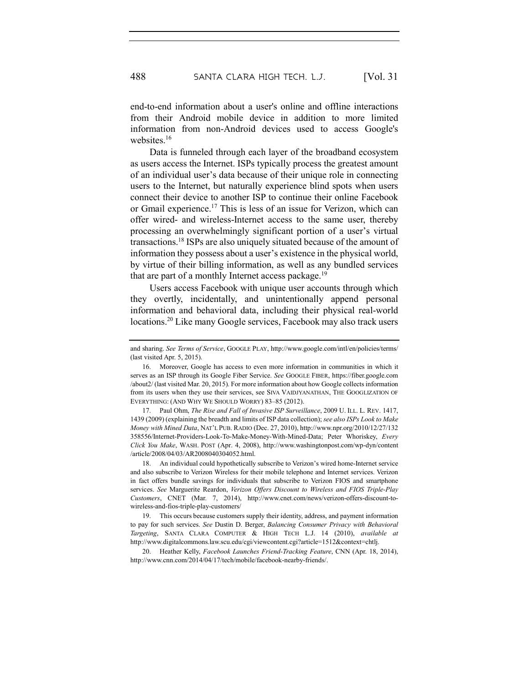end-to-end information about a user's online and offline interactions from their Android mobile device in addition to more limited information from non-Android devices used to access Google's websites.<sup>16</sup>

Data is funneled through each layer of the broadband ecosystem as users access the Internet. ISPs typically process the greatest amount of an individual user's data because of their unique role in connecting users to the Internet, but naturally experience blind spots when users connect their device to another ISP to continue their online Facebook or Gmail experience.17 This is less of an issue for Verizon, which can offer wired- and wireless-Internet access to the same user, thereby processing an overwhelmingly significant portion of a user's virtual transactions.18 ISPs are also uniquely situated because of the amount of information they possess about a user's existence in the physical world, by virtue of their billing information, as well as any bundled services that are part of a monthly Internet access package.<sup>19</sup>

Users access Facebook with unique user accounts through which they overtly, incidentally, and unintentionally append personal information and behavioral data, including their physical real-world locations. <sup>20</sup> Like many Google services, Facebook may also track users

17. Paul Ohm, *The Rise and Fall of Invasive ISP Surveillance*, 2009 U. ILL. L. REV. 1417, 1439 (2009) (explaining the breadth and limits of ISP data collection); *see also ISPs Look to Make Money with Mined Data*, NAT'L PUB. RADIO (Dec. 27, 2010), http://www.npr.org/2010/12/27/132 358556/Internet-Providers-Look-To-Make-Money-With-Mined-Data; Peter Whoriskey, *Every Click You Make*, WASH. POST (Apr. 4, 2008), http://www.washingtonpost.com/wp-dyn/content /article/2008/04/03/AR2008040304052.html.

18. An individual could hypothetically subscribe to Verizon's wired home-Internet service and also subscribe to Verizon Wireless for their mobile telephone and Internet services. Verizon in fact offers bundle savings for individuals that subscribe to Verizon FIOS and smartphone services. *See* Marguerite Reardon, *Verizon Offers Discount to Wireless and FIOS Triple-Play Customers*, CNET (Mar. 7, 2014), http://www.cnet.com/news/verizon-offers-discount-towireless-and-fios-triple-play-customers/

19. This occurs because customers supply their identity, address, and payment information to pay for such services. *See* Dustin D. Berger, *Balancing Consumer Privacy with Behavioral Targeting*, SANTA CLARA COMPUTER & HIGH TECH L.J. 14 (2010), *available at* http://www.digitalcommons.law.scu.edu/cgi/viewcontent.cgi?article=1512&context=chtlj.

20. Heather Kelly, *Facebook Launches Friend-Tracking Feature*, CNN (Apr. 18, 2014), http://www.cnn.com/2014/04/17/tech/mobile/facebook-nearby-friends/.

and sharing. *See Terms of Service*, GOOGLE PLAY, http://www.google.com/intl/en/policies/terms/ (last visited Apr. 5, 2015).

<sup>16.</sup> Moreover, Google has access to even more information in communities in which it serves as an ISP through its Google Fiber Service. *See* GOOGLE FIBER, https://fiber.google.com /about2/ (last visited Mar. 20, 2015). For more information about how Google collects information from its users when they use their services, see SIVA VAIDJYANATHAN, THE GOOGLIZATION OF EVERYTHING: (AND WHY WE SHOULD WORRY) 83–85 (2012).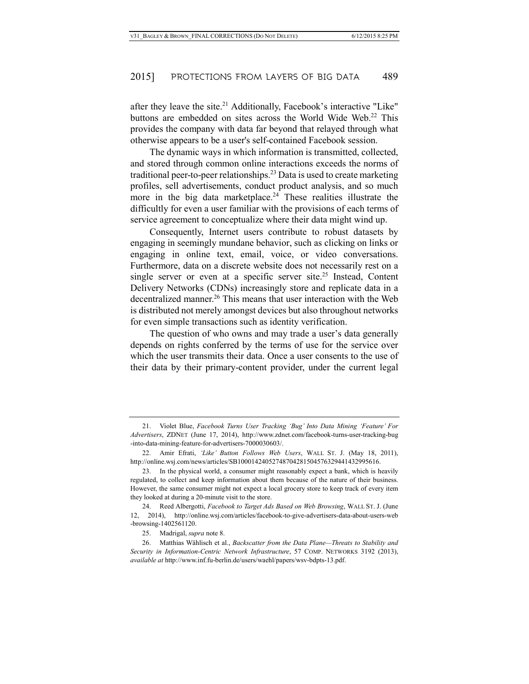after they leave the site. $21$  Additionally, Facebook's interactive "Like" buttons are embedded on sites across the World Wide Web.<sup>22</sup> This provides the company with data far beyond that relayed through what otherwise appears to be a user's self-contained Facebook session.

The dynamic ways in which information is transmitted, collected, and stored through common online interactions exceeds the norms of traditional peer-to-peer relationships.23 Data is used to create marketing profiles, sell advertisements, conduct product analysis, and so much more in the big data marketplace.<sup>24</sup> These realities illustrate the difficultly for even a user familiar with the provisions of each terms of service agreement to conceptualize where their data might wind up.

Consequently, Internet users contribute to robust datasets by engaging in seemingly mundane behavior, such as clicking on links or engaging in online text, email, voice, or video conversations. Furthermore, data on a discrete website does not necessarily rest on a single server or even at a specific server site.<sup>25</sup> Instead, Content Delivery Networks (CDNs) increasingly store and replicate data in a decentralized manner.<sup>26</sup> This means that user interaction with the Web is distributed not merely amongst devices but also throughout networks for even simple transactions such as identity verification.

The question of who owns and may trade a user's data generally depends on rights conferred by the terms of use for the service over which the user transmits their data. Once a user consents to the use of their data by their primary-content provider, under the current legal

25. Madrigal, *supra* note 8.

26. Matthias Wählisch et al., *Backscatter from the Data Plane—Threats to Stability and Security in Information-Centric Network Infrastructure*, 57 COMP. NETWORKS 3192 (2013), *available at* http://www.inf.fu-berlin.de/users/waehl/papers/wsv-bdpts-13.pdf.

<sup>21.</sup> Violet Blue, *Facebook Turns User Tracking 'Bug' Into Data Mining 'Feature' For Advertisers*, ZDNET (June 17, 2014), http://www.zdnet.com/facebook-turns-user-tracking-bug -into-data-mining-feature-for-advertisers-7000030603/.

<sup>22.</sup> Amir Efrati, *'Like' Button Follows Web Users*, WALL ST. J. (May 18, 2011), http://online.wsj.com/news/articles/SB10001424052748704281504576329441432995616.

<sup>23.</sup> In the physical world, a consumer might reasonably expect a bank, which is heavily regulated, to collect and keep information about them because of the nature of their business. However, the same consumer might not expect a local grocery store to keep track of every item they looked at during a 20-minute visit to the store.

<sup>24.</sup> Reed Albergotti, *Facebook to Target Ads Based on Web Browsing*, WALL ST. J. (June 12, 2014), http://online.wsj.com/articles/facebook-to-give-advertisers-data-about-users-web -browsing-1402561120.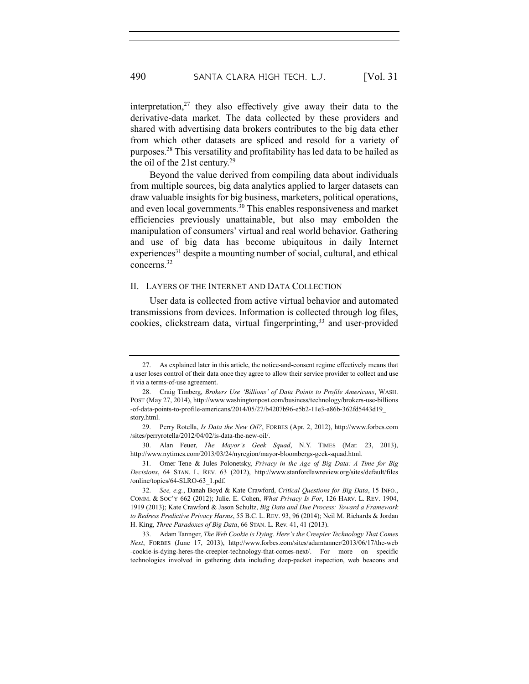interpretation, $27$  they also effectively give away their data to the derivative-data market. The data collected by these providers and shared with advertising data brokers contributes to the big data ether from which other datasets are spliced and resold for a variety of purposes.28 This versatility and profitability has led data to be hailed as the oil of the 21st century.29

Beyond the value derived from compiling data about individuals from multiple sources, big data analytics applied to larger datasets can draw valuable insights for big business, marketers, political operations, and even local governments.30 This enables responsiveness and market efficiencies previously unattainable, but also may embolden the manipulation of consumers' virtual and real world behavior. Gathering and use of big data has become ubiquitous in daily Internet experiences<sup>31</sup> despite a mounting number of social, cultural, and ethical concerns. 32

#### II. LAYERS OF THE INTERNET AND DATA COLLECTION

User data is collected from active virtual behavior and automated transmissions from devices. Information is collected through log files, cookies, clickstream data, virtual fingerprinting,<sup>33</sup> and user-provided

30. Alan Feuer, *The Mayor's Geek Squad*, N.Y. TIMES (Mar. 23, 2013), http://www.nytimes.com/2013/03/24/nyregion/mayor-bloombergs-geek-squad.html.

31. Omer Tene & Jules Polonetsky, *Privacy in the Age of Big Data: A Time for Big Decisions*, 64 STAN. L. REV. 63 (2012), http://www.stanfordlawreview.org/sites/default/files /online/topics/64-SLRO-63\_1.pdf.

33. Adam Tannger, *The Web Cookie is Dying. Here's the Creepier Technology That Comes Next*, FORBES (June 17, 2013), http://www.forbes.com/sites/adamtanner/2013/06/17/the-web -cookie-is-dying-heres-the-creepier-technology-that-comes-next/. For more on specific technologies involved in gathering data including deep-packet inspection, web beacons and

<sup>27.</sup> As explained later in this article, the notice-and-consent regime effectively means that a user loses control of their data once they agree to allow their service provider to collect and use it via a terms-of-use agreement.

<sup>28.</sup> Craig Timberg, *Brokers Use 'Billions' of Data Points to Profile Americans*, WASH. POST (May 27, 2014), http://www.washingtonpost.com/business/technology/brokers-use-billions -of-data-points-to-profile-americans/2014/05/27/b4207b96-e5b2-11e3-a86b-362fd5443d19\_ story.html.

<sup>29.</sup> Perry Rotella, *Is Data the New Oil?*, FORBES (Apr. 2, 2012), http://www.forbes.com /sites/perryrotella/2012/04/02/is-data-the-new-oil/.

<sup>32.</sup> *See, e.g.*, Danah Boyd & Kate Crawford, *Critical Questions for Big Data*, 15 INFO., COMM. & SOC'Y 662 (2012); Julie. E. Cohen, *What Privacy Is For*, 126 HARV. L. REV. 1904, 1919 (2013); Kate Crawford & Jason Schultz, *Big Data and Due Process: Toward a Framework to Redress Predictive Privacy Harms*, 55 B.C. L. REV. 93, 96 (2014); Neil M. Richards & Jordan H. King, *Three Paradoxes of Big Data*, 66 STAN. L. Rev. 41, 41 (2013).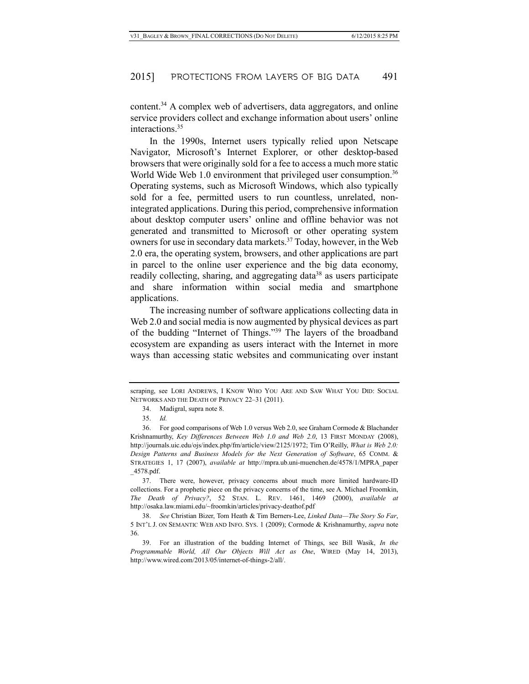content.34 A complex web of advertisers, data aggregators, and online service providers collect and exchange information about users' online interactions.<sup>35</sup>

In the 1990s, Internet users typically relied upon Netscape Navigator, Microsoft's Internet Explorer, or other desktop-based browsers that were originally sold for a fee to access a much more static World Wide Web 1.0 environment that privileged user consumption.<sup>36</sup> Operating systems, such as Microsoft Windows, which also typically sold for a fee, permitted users to run countless, unrelated, nonintegrated applications. During this period, comprehensive information about desktop computer users' online and offline behavior was not generated and transmitted to Microsoft or other operating system owners for use in secondary data markets.<sup>37</sup> Today, however, in the Web 2.0 era, the operating system, browsers, and other applications are part in parcel to the online user experience and the big data economy, readily collecting, sharing, and aggregating data<sup>38</sup> as users participate and share information within social media and smartphone applications.

The increasing number of software applications collecting data in Web 2.0 and social media is now augmented by physical devices as part of the budding "Internet of Things."39 The layers of the broadband ecosystem are expanding as users interact with the Internet in more ways than accessing static websites and communicating over instant

scraping, see LORI ANDREWS, I KNOW WHO YOU ARE AND SAW WHAT YOU DID: SOCIAL NETWORKS AND THE DEATH OF PRIVACY 22–31 (2011).

<sup>34.</sup> Madigral, supra note 8.

<sup>35.</sup> *Id.*

<sup>36.</sup> For good comparisons of Web 1.0 versus Web 2.0, see Graham Cormode & Blachander Krishnamurthy, *Key Differences Between Web 1.0 and Web 2.0*, 13 FIRST MONDAY (2008), http://journals.uic.edu/ojs/index.php/fm/article/view/2125/1972; Tim O'Reilly, *What is Web 2.0: Design Patterns and Business Models for the Next Generation of Software*, 65 COMM. & STRATEGIES 1, 17 (2007), *available at* http://mpra.ub.uni-muenchen.de/4578/1/MPRA\_paper \_4578.pdf.

<sup>37.</sup> There were, however, privacy concerns about much more limited hardware-ID collections. For a prophetic piece on the privacy concerns of the time, see A. Michael Froomkin, *The Death of Privacy?*, 52 STAN. L. REV. 1461, 1469 (2000), *available at* http://osaka.law.miami.edu/~froomkin/articles/privacy-deathof.pdf

<sup>38.</sup> *See* Christian Bizer, Tom Heath & Tim Berners-Lee, *Linked Data—The Story So Far*, 5 INT'L J. ON SEMANTIC WEB AND INFO. SYS. 1 (2009); Cormode & Krishnamurthy, *supra* note 36.

<sup>39.</sup> For an illustration of the budding Internet of Things, see Bill Wasik, *In the Programmable World, All Our Objects Will Act as One*, WIRED (May 14, 2013), http://www.wired.com/2013/05/internet-of-things-2/all/.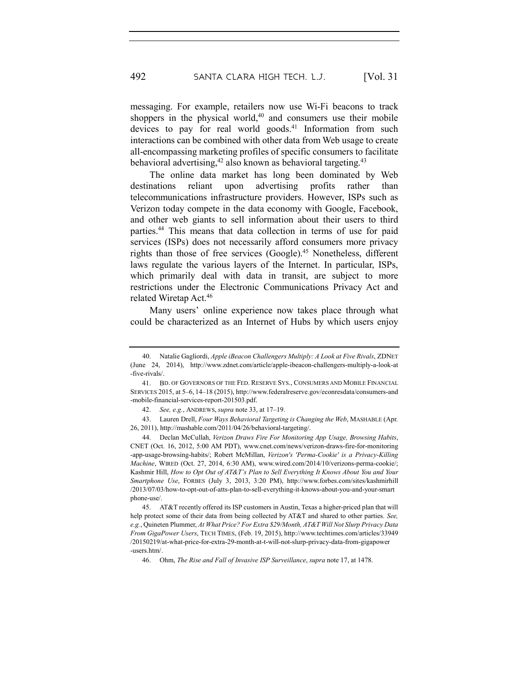messaging. For example, retailers now use Wi-Fi beacons to track shoppers in the physical world, <sup>40</sup> and consumers use their mobile devices to pay for real world goods.<sup>41</sup> Information from such interactions can be combined with other data from Web usage to create all-encompassing marketing profiles of specific consumers to facilitate behavioral advertising,<sup>42</sup> also known as behavioral targeting.<sup>43</sup>

The online data market has long been dominated by Web destinations reliant upon advertising profits rather than telecommunications infrastructure providers. However, ISPs such as Verizon today compete in the data economy with Google, Facebook, and other web giants to sell information about their users to third parties.44 This means that data collection in terms of use for paid services (ISPs) does not necessarily afford consumers more privacy rights than those of free services (Google).45 Nonetheless, different laws regulate the various layers of the Internet. In particular, ISPs, which primarily deal with data in transit, are subject to more restrictions under the Electronic Communications Privacy Act and related Wiretap Act.46

Many users' online experience now takes place through what could be characterized as an Internet of Hubs by which users enjoy

<sup>40.</sup> Natalie Gagliordi, *Apple iBeacon Challengers Multiply: A Look at Five Rivals*, ZDNET (June 24, 2014), http://www.zdnet.com/article/apple-ibeacon-challengers-multiply-a-look-at -five-rivals/.

<sup>41.</sup> BD. OF GOVERNORS OF THE FED. RESERVE SYS., CONSUMERS AND MOBILE FINANCIAL SERVICES 2015, at 5–6, 14–18 (2015), http://www.federalreserve.gov/econresdata/consumers-and -mobile-financial-services-report-201503.pdf.

<sup>42.</sup> *See, e.g.*, ANDREWS, *supra* note 33, at 17–19.

<sup>43.</sup> Lauren Drell, *Four Ways Behavioral Targeting is Changing the Web*, MASHABLE (Apr. 26, 2011), http://mashable.com/2011/04/26/behavioral-targeting/.

<sup>44.</sup> Declan McCullah, *Verizon Draws Fire For Monitoring App Usage, Browsing Habits*, CNET (Oct. 16, 2012, 5:00 AM PDT), www.cnet.com/news/verizon-draws-fire-for-monitoring -app-usage-browsing-habits/; Robert McMillan, *Verizon's 'Perma-Cookie' is a Privacy-Killing Machine*, WIRED (Oct. 27, 2014, 6:30 AM), www.wired.com/2014/10/verizons-perma-cookie/; Kashmir Hill, *How to Opt Out of AT&T's Plan to Sell Everything It Knows About You and Your Smartphone Use*, FORBES (July 3, 2013, 3:20 PM), http://www.forbes.com/sites/kashmirhill /2013/07/03/how-to-opt-out-of-atts-plan-to-sell-everything-it-knows-about-you-and-your-smart phone-use/.

<sup>45.</sup> AT&T recently offered its ISP customers in Austin, Texas a higher-priced plan that will help protect some of their data from being collected by AT&T and shared to other parties. *See, e.g.*, Quineten Plummer, *At What Price? For Extra \$29/Month, AT&T Will Not Slurp Privacy Data From GigaPower Users*, TECH TIMES, (Feb. 19, 2015), http://www.techtimes.com/articles/33949 /20150219/at-what-price-for-extra-29-month-at-t-will-not-slurp-privacy-data-from-gigapower -users.htm/.

<sup>46.</sup> Ohm, *The Rise and Fall of Invasive ISP Surveillance*, *supra* note 17, at 1478.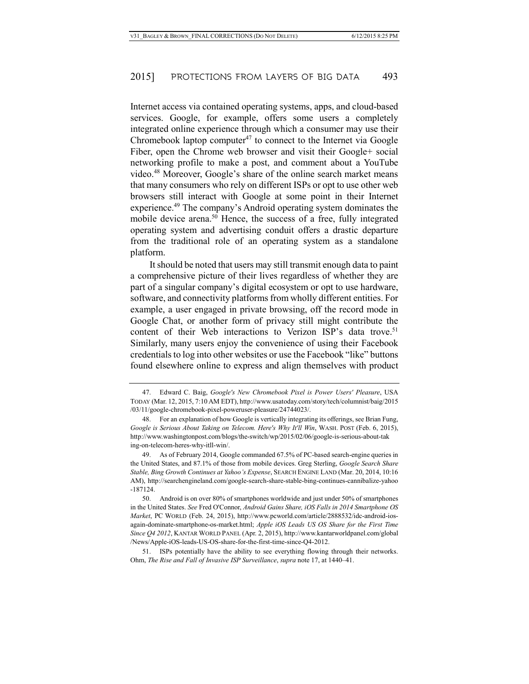Internet access via contained operating systems, apps, and cloud-based services. Google, for example, offers some users a completely integrated online experience through which a consumer may use their Chromebook laptop computer $47$  to connect to the Internet via Google Fiber, open the Chrome web browser and visit their Google+ social networking profile to make a post, and comment about a YouTube video.48 Moreover, Google's share of the online search market means that many consumers who rely on different ISPs or opt to use other web browsers still interact with Google at some point in their Internet experience.49 The company's Android operating system dominates the mobile device arena.<sup>50</sup> Hence, the success of a free, fully integrated operating system and advertising conduit offers a drastic departure from the traditional role of an operating system as a standalone platform.

It should be noted that users may still transmit enough data to paint a comprehensive picture of their lives regardless of whether they are part of a singular company's digital ecosystem or opt to use hardware, software, and connectivity platforms from wholly different entities. For example, a user engaged in private browsing, off the record mode in Google Chat, or another form of privacy still might contribute the content of their Web interactions to Verizon ISP's data trove.<sup>51</sup> Similarly, many users enjoy the convenience of using their Facebook credentials to log into other websites or use the Facebook "like" buttons found elsewhere online to express and align themselves with product

<sup>47.</sup> Edward C. Baig, *Google's New Chromebook Pixel is Power Users' Pleasure*, USA TODAY (Mar. 12, 2015, 7:10 AM EDT), http://www.usatoday.com/story/tech/columnist/baig/2015 /03/11/google-chromebook-pixel-poweruser-pleasure/24744023/.

<sup>48.</sup> For an explanation of how Google is vertically integrating its offerings, see Brian Fung, *Google is Serious About Taking on Telecom. Here's Why It'll Win*, WASH. POST (Feb. 6, 2015), http://www.washingtonpost.com/blogs/the-switch/wp/2015/02/06/google-is-serious-about-tak ing-on-telecom-heres-why-itll-win/.

<sup>49.</sup> As of February 2014, Google commanded 67.5% of PC-based search-engine queries in the United States, and 87.1% of those from mobile devices. Greg Sterling, *Google Search Share Stable, Bing Growth Continues at Yahoo's Expense*, SEARCH ENGINE LAND (Mar. 20, 2014, 10:16 AM), http://searchengineland.com/google-search-share-stable-bing-continues-cannibalize-yahoo -187124.

<sup>50.</sup> Android is on over 80% of smartphones worldwide and just under 50% of smartphones in the United States. *See* Fred O'Connor, *Android Gains Share, iOS Falls in 2014 Smartphone OS Market*, PC WORLD (Feb. 24, 2015), http://www.pcworld.com/article/2888532/idc-android-iosagain-dominate-smartphone-os-market.html; *Apple iOS Leads US OS Share for the First Time Since Q4 2012*, KANTAR WORLD PANEL (Apr. 2, 2015), http://www.kantarworldpanel.com/global /News/Apple-iOS-leads-US-OS-share-for-the-first-time-since-Q4-2012.

<sup>51.</sup> ISPs potentially have the ability to see everything flowing through their networks. Ohm, *The Rise and Fall of Invasive ISP Surveillance*, *supra* note 17, at 1440–41.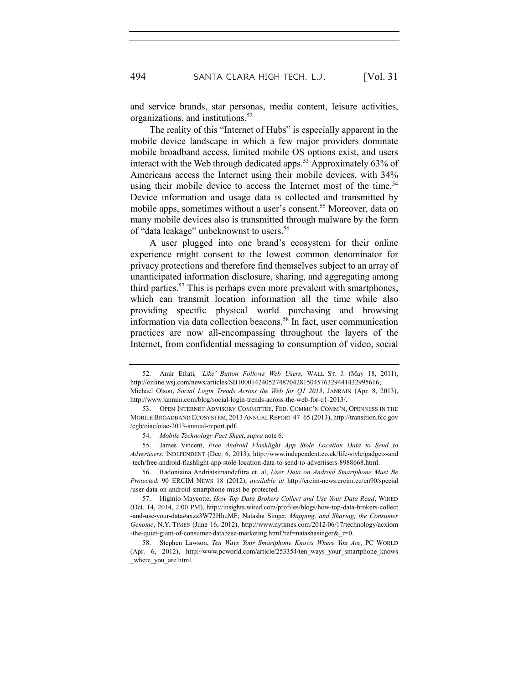and service brands, star personas, media content, leisure activities, organizations, and institutions.52

The reality of this "Internet of Hubs" is especially apparent in the mobile device landscape in which a few major providers dominate mobile broadband access, limited mobile OS options exist, and users interact with the Web through dedicated apps.<sup>53</sup> Approximately  $63\%$  of Americans access the Internet using their mobile devices, with 34% using their mobile device to access the Internet most of the time.<sup>54</sup> Device information and usage data is collected and transmitted by mobile apps, sometimes without a user's consent.<sup>55</sup> Moreover, data on many mobile devices also is transmitted through malware by the form of "data leakage" unbeknownst to users.<sup>56</sup>

A user plugged into one brand's ecosystem for their online experience might consent to the lowest common denominator for privacy protections and therefore find themselves subject to an array of unanticipated information disclosure, sharing, and aggregating among third parties.57 This is perhaps even more prevalent with smartphones, which can transmit location information all the time while also providing specific physical world purchasing and browsing information via data collection beacons.<sup>58</sup> In fact, user communication practices are now all-encompassing throughout the layers of the Internet, from confidential messaging to consumption of video, social

<sup>52.</sup> Amir Efrati*, 'Like' Button Follows Web Users*, WALL ST. J. (May 18, 2011), http://online.wsj.com/news/articles/SB10001424052748704281504576329441432995616; Michael Olson, *Social Login Trends Across the Web for Q1 2013*, JANRAIN (Apr. 8, 2013),

http://www.janrain.com/blog/social-login-trends-across-the-web-for-q1-2013/. 53. OPEN INTERNET ADVISORY COMMITTEE, FED. COMMC'N COMM'N, OPENNESS IN THE

MOBILE BROADBAND ECOSYSTEM, 2013 ANNUAL REPORT 47–65 (2013), http://transition.fcc.gov /cgb/oiac/oiac-2013-annual-report.pdf.

<sup>54.</sup> *Mobile Technology Fact Sheet*, *supra* note 6.

<sup>55.</sup> James Vincent, *Free Android Flashlight App Stole Location Data to Send to Advertisers*, INDEPENDENT (Dec. 6, 2013), http://www.independent.co.uk/life-style/gadgets-and -tech/free-android-flashlight-app-stole-location-data-to-send-to-advertisers-8988668.html.

<sup>56.</sup> Radoniaina Andriatsimandefitra et. al, *User Data on Androïd Smartphone Must Be Protected*, 90 ERCIM NEWS 18 (2012), *available at* http://ercim-news.ercim.eu/en90/special /user-data-on-android-smartphone-must-be-protected.

<sup>57.</sup> Higinio Maycotte, *How Top Data Brokers Collect and Use Your Data Read*, WIRED (Oct. 14, 2014, 2:00 PM), http://insights.wired.com/profiles/blogs/how-top-data-brokers-collect -and-use-your-data#axzz3W72HhuMF; Natasha Singer, *Mapping, and Sharing, the Consumer Genome*, N.Y. TIMES (June 16, 2012), http://www.nytimes.com/2012/06/17/technology/acxiom -the-quiet-giant-of-consumer-database-marketing.html?ref=natashasinger $&\epsilon$ r=0.

<sup>58.</sup> Stephen Lawson, *Ten Ways Your Smartphone Knows Where You Are*, PC WORLD (Apr. 6, 2012), http://www.pcworld.com/article/253354/ten\_ways\_your\_smartphone\_knows where you are.html.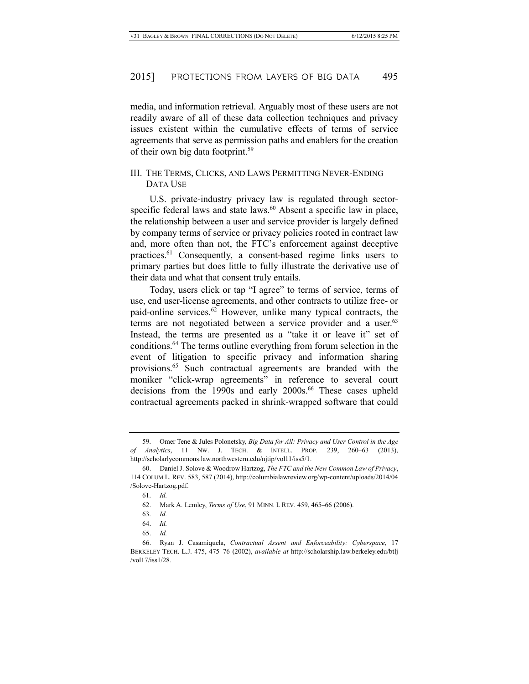media, and information retrieval. Arguably most of these users are not readily aware of all of these data collection techniques and privacy issues existent within the cumulative effects of terms of service agreements that serve as permission paths and enablers for the creation of their own big data footprint.59

# III. THE TERMS, CLICKS, AND LAWS PERMITTING NEVER-ENDING DATA USE

U.S. private-industry privacy law is regulated through sectorspecific federal laws and state laws.<sup>60</sup> Absent a specific law in place, the relationship between a user and service provider is largely defined by company terms of service or privacy policies rooted in contract law and, more often than not, the FTC's enforcement against deceptive practices. <sup>61</sup> Consequently, a consent-based regime links users to primary parties but does little to fully illustrate the derivative use of their data and what that consent truly entails.

Today, users click or tap "I agree" to terms of service, terms of use, end user-license agreements, and other contracts to utilize free- or paid-online services. $62$  However, unlike many typical contracts, the terms are not negotiated between a service provider and a user.<sup>63</sup> Instead, the terms are presented as a "take it or leave it" set of conditions.64 The terms outline everything from forum selection in the event of litigation to specific privacy and information sharing provisions.65 Such contractual agreements are branded with the moniker "click-wrap agreements" in reference to several court decisions from the 1990s and early 2000s. <sup>66</sup> These cases upheld contractual agreements packed in shrink-wrapped software that could

<sup>59.</sup> Omer Tene & Jules Polonetsky, *Big Data for All: Privacy and User Control in the Age of Analytics*, 11 NW. J. TECH. & INTELL. PROP. 239, 260–63 (2013), http://scholarlycommons.law.northwestern.edu/njtip/vol11/iss5/1.

<sup>60.</sup> Daniel J. Solove & Woodrow Hartzog, *The FTC and the New Common Law of Privacy*, 114 COLUM L. REV. 583, 587 (2014), http://columbialawreview.org/wp-content/uploads/2014/04 /Solove-Hartzog.pdf.

<sup>61.</sup> *Id.*

<sup>62.</sup> Mark A. Lemley, *Terms of Use*, 91 MINN. L REV. 459, 465–66 (2006).

<sup>63.</sup> *Id.*

<sup>64.</sup> *Id.*

<sup>65.</sup> *Id.*

<sup>66.</sup> Ryan J. Casamiquela, *Contractual Assent and Enforceability: Cyberspace*, 17 BERKELEY TECH. L.J. 475, 475–76 (2002), *available at* http://scholarship.law.berkeley.edu/btlj /vol17/iss1/28.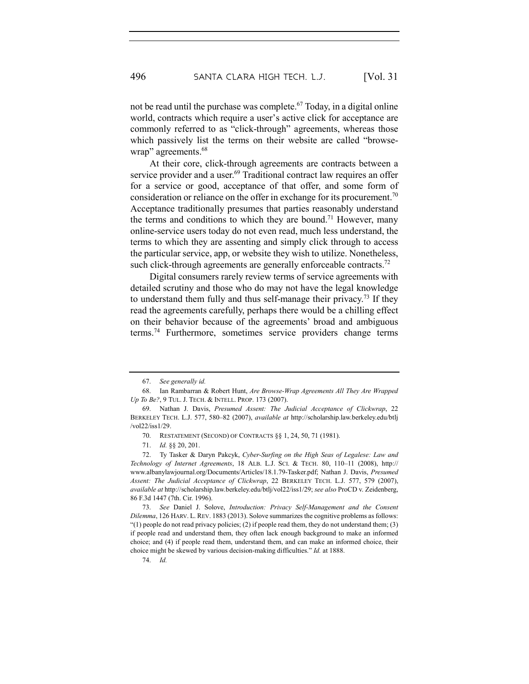not be read until the purchase was complete.<sup>67</sup> Today, in a digital online world, contracts which require a user's active click for acceptance are commonly referred to as "click-through" agreements, whereas those which passively list the terms on their website are called "browsewrap" agreements.<sup>68</sup>

At their core, click-through agreements are contracts between a service provider and a user.<sup>69</sup> Traditional contract law requires an offer for a service or good, acceptance of that offer, and some form of consideration or reliance on the offer in exchange for its procurement.<sup>70</sup> Acceptance traditionally presumes that parties reasonably understand the terms and conditions to which they are bound.<sup>71</sup> However, many online-service users today do not even read, much less understand, the terms to which they are assenting and simply click through to access the particular service, app, or website they wish to utilize. Nonetheless, such click-through agreements are generally enforceable contracts.<sup>72</sup>

Digital consumers rarely review terms of service agreements with detailed scrutiny and those who do may not have the legal knowledge to understand them fully and thus self-manage their privacy.73 If they read the agreements carefully, perhaps there would be a chilling effect on their behavior because of the agreements' broad and ambiguous terms.74 Furthermore, sometimes service providers change terms

74. *Id.*

<sup>67.</sup> *See generally id.*

<sup>68.</sup> Ian Rambarran & Robert Hunt, *Are Browse-Wrap Agreements All They Are Wrapped Up To Be?*, 9 TUL. J. TECH. & INTELL. PROP. 173 (2007).

<sup>69.</sup> Nathan J. Davis, *Presumed Assent: The Judicial Acceptance of Clickwrap*, 22 BERKELEY TECH. L.J. 577, 580–82 (2007), *available at* http://scholarship.law.berkeley.edu/btlj /vol22/iss1/29.

<sup>70.</sup> RESTATEMENT (SECOND) OF CONTRACTS §§ 1, 24, 50, 71 (1981).

<sup>71.</sup> *Id.* §§ 20, 201.

<sup>72.</sup> Ty Tasker & Daryn Pakcyk, *Cyber-Surfing on the High Seas of Legalese: Law and Technology of Internet Agreements*, 18 ALB. L.J. SCI. & TECH. 80, 110–11 (2008), http:// www.albanylawjournal.org/Documents/Articles/18.1.79-Tasker.pdf; Nathan J. Davis, *Presumed Assent: The Judicial Acceptance of Clickwrap*, 22 BERKELEY TECH. L.J. 577, 579 (2007), *available at* http://scholarship.law.berkeley.edu/btlj/vol22/iss1/29; *see also* ProCD v. Zeidenberg, 86 F.3d 1447 (7th. Cir. 1996).

<sup>73.</sup> *See* Daniel J. Solove, *Introduction: Privacy Self-Management and the Consent Dilemma*, 126 HARV. L. REV. 1883 (2013). Solove summarizes the cognitive problems as follows:  $"(1)$  people do not read privacy policies;  $(2)$  if people read them, they do not understand them;  $(3)$ if people read and understand them, they often lack enough background to make an informed choice; and (4) if people read them, understand them, and can make an informed choice, their choice might be skewed by various decision-making difficulties." *Id.* at 1888.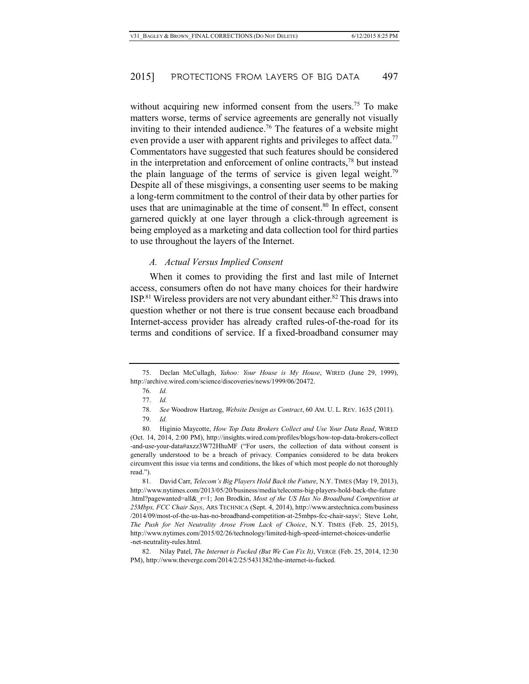without acquiring new informed consent from the users.<sup>75</sup> To make matters worse, terms of service agreements are generally not visually inviting to their intended audience.<sup>76</sup> The features of a website might even provide a user with apparent rights and privileges to affect data.<sup>77</sup> Commentators have suggested that such features should be considered in the interpretation and enforcement of online contracts, <sup>78</sup> but instead the plain language of the terms of service is given legal weight.<sup>79</sup> Despite all of these misgivings, a consenting user seems to be making a long-term commitment to the control of their data by other parties for uses that are unimaginable at the time of consent.<sup>80</sup> In effect, consent garnered quickly at one layer through a click-through agreement is being employed as a marketing and data collection tool for third parties to use throughout the layers of the Internet.

#### *A. Actual Versus Implied Consent*

When it comes to providing the first and last mile of Internet access, consumers often do not have many choices for their hardwire ISP.81 Wireless providers are not very abundant either.82 This draws into question whether or not there is true consent because each broadband Internet-access provider has already crafted rules-of-the-road for its terms and conditions of service. If a fixed-broadband consumer may

<sup>75.</sup> Declan McCullagh, *Yahoo: Your House is My House*, WIRED (June 29, 1999), http://archive.wired.com/science/discoveries/news/1999/06/20472.

<sup>76.</sup> *Id.*

<sup>77.</sup> *Id.*

<sup>78.</sup> *See* Woodrow Hartzog, *Website Design as Contract*, 60 AM. U. L. REV. 1635 (2011).

<sup>79.</sup> *Id.*

<sup>80.</sup> Higinio Maycotte, *How Top Data Brokers Collect and Use Your Data Read*, WIRED (Oct. 14, 2014, 2:00 PM), http://insights.wired.com/profiles/blogs/how-top-data-brokers-collect -and-use-your-data#axzz3W72HhuMF ("For users, the collection of data without consent is generally understood to be a breach of privacy. Companies considered to be data brokers circumvent this issue via terms and conditions, the likes of which most people do not thoroughly read.").

<sup>81.</sup> David Carr, *Telecom's Big Players Hold Back the Future*, N.Y. TIMES (May 19, 2013), http://www.nytimes.com/2013/05/20/business/media/telecoms-big-players-hold-back-the-future .html?pagewanted=all&\_r=1; Jon Brodkin, *Most of the US Has No Broadband Competition at 25Mbps, FCC Chair Says*, ARS TECHNICA (Sept. 4, 2014), http://www.arstechnica.com/business /2014/09/most-of-the-us-has-no-broadband-competition-at-25mbps-fcc-chair-says/; Steve Lohr, *The Push for Net Neutrality Arose From Lack of Choice*, N.Y. TIMES (Feb. 25, 2015), http://www.nytimes.com/2015/02/26/technology/limited-high-speed-internet-choices-underlie -net-neutrality-rules.html.

<sup>82.</sup> Nilay Patel, *The Internet is Fucked (But We Can Fix It)*, VERGE (Feb. 25, 2014, 12:30 PM), http://www.theverge.com/2014/2/25/5431382/the-internet-is-fucked.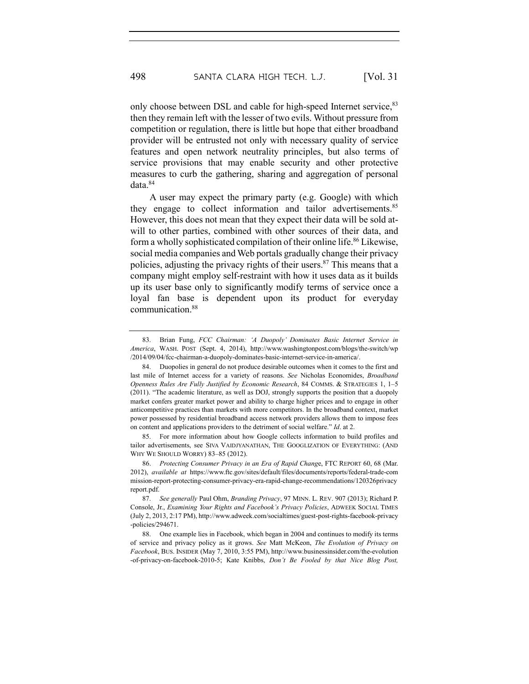only choose between DSL and cable for high-speed Internet service, 83 then they remain left with the lesser of two evils. Without pressure from competition or regulation, there is little but hope that either broadband provider will be entrusted not only with necessary quality of service features and open network neutrality principles, but also terms of service provisions that may enable security and other protective measures to curb the gathering, sharing and aggregation of personal data.84

A user may expect the primary party (e.g. Google) with which they engage to collect information and tailor advertisements.<sup>85</sup> However, this does not mean that they expect their data will be sold atwill to other parties, combined with other sources of their data, and form a wholly sophisticated compilation of their online life. <sup>86</sup> Likewise, social media companies and Web portals gradually change their privacy policies, adjusting the privacy rights of their users.<sup>87</sup> This means that a company might employ self-restraint with how it uses data as it builds up its user base only to significantly modify terms of service once a loyal fan base is dependent upon its product for everyday communication.88

85. For more information about how Google collects information to build profiles and tailor advertisements, see SIVA VAIDJYANATHAN, THE GOOGLIZATION OF EVERYTHING: (AND WHY WE SHOULD WORRY) 83–85 (2012).

<sup>83.</sup> Brian Fung, *FCC Chairman: 'A Duopoly' Dominates Basic Internet Service in America*, WASH. POST (Sept. 4, 2014), http://www.washingtonpost.com/blogs/the-switch/wp /2014/09/04/fcc-chairman-a-duopoly-dominates-basic-internet-service-in-america/.

<sup>84.</sup> Duopolies in general do not produce desirable outcomes when it comes to the first and last mile of Internet access for a variety of reasons. *See* Nicholas Economides, *Broadband Openness Rules Are Fully Justified by Economic Research*, 84 COMMS. & STRATEGIES 1, 1–5 (2011). "The academic literature, as well as DOJ, strongly supports the position that a duopoly market confers greater market power and ability to charge higher prices and to engage in other anticompetitive practices than markets with more competitors. In the broadband context, market power possessed by residential broadband access network providers allows them to impose fees on content and applications providers to the detriment of social welfare." *Id*. at 2.

<sup>86.</sup> *Protecting Consumer Privacy in an Era of Rapid Chang*e, FTC REPORT 60, 68 (Mar. 2012), *available at* https://www.ftc.gov/sites/default/files/documents/reports/federal-trade-com mission-report-protecting-consumer-privacy-era-rapid-change-recommendations/120326privacy report.pdf.

<sup>87.</sup> *See generally* Paul Ohm, *Branding Privacy*, 97 MINN. L. REV. 907 (2013); Richard P. Console, Jr., *Examining Your Rights and Facebook's Privacy Policies*, ADWEEK SOCIAL TIMES (July 2, 2013, 2:17 PM), http://www.adweek.com/socialtimes/guest-post-rights-facebook-privacy -policies/294671.

<sup>88.</sup> One example lies in Facebook, which began in 2004 and continues to modify its terms of service and privacy policy as it grows. *See* Matt McKeon, *The Evolution of Privacy on Facebook*, BUS. INSIDER (May 7, 2010, 3:55 PM), http://www.businessinsider.com/the-evolution -of-privacy-on-facebook-2010-5; Kate Knibbs, *Don't Be Fooled by that Nice Blog Post,*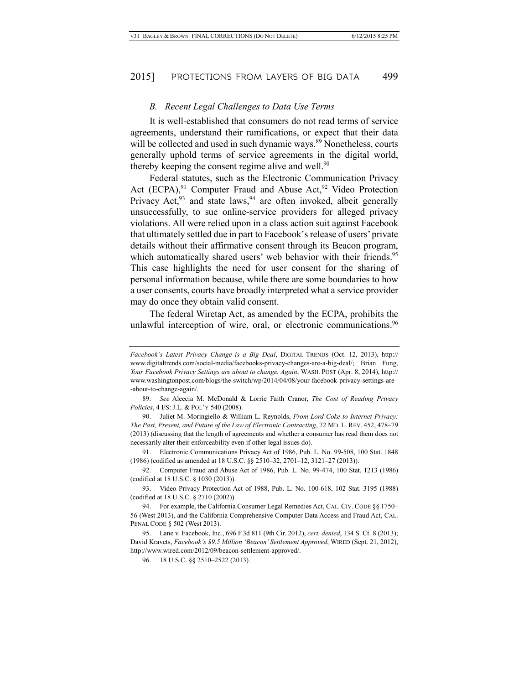#### *B. Recent Legal Challenges to Data Use Terms*

It is well-established that consumers do not read terms of service agreements, understand their ramifications, or expect that their data will be collected and used in such dynamic ways.<sup>89</sup> Nonetheless, courts generally uphold terms of service agreements in the digital world, thereby keeping the consent regime alive and well.<sup>90</sup>

Federal statutes, such as the Electronic Communication Privacy Act  $(ECPA)$ ,<sup>91</sup> Computer Fraud and Abuse Act,<sup>92</sup> Video Protection Privacy Act,<sup>93</sup> and state laws,<sup>94</sup> are often invoked, albeit generally unsuccessfully, to sue online-service providers for alleged privacy violations. All were relied upon in a class action suit against Facebook that ultimately settled due in part to Facebook's release of users' private details without their affirmative consent through its Beacon program, which automatically shared users' web behavior with their friends.<sup>95</sup> This case highlights the need for user consent for the sharing of personal information because, while there are some boundaries to how a user consents, courts have broadly interpreted what a service provider may do once they obtain valid consent.

The federal Wiretap Act, as amended by the ECPA, prohibits the unlawful interception of wire, oral, or electronic communications.<sup>96</sup>

89. *See* Aleecia M. McDonald & Lorrie Faith Cranor, *The Cost of Reading Privacy Policies*, 4 I/S: J.L. & POL'Y 540 (2008).

90. Juliet M. Moringiello & William L. Reynolds, *From Lord Coke to Internet Privacy: The Past, Present, and Future of the Law of Electronic Contracting*, 72 MD. L. REV. 452, 478–79 (2013) (discussing that the length of agreements and whether a consumer has read them does not necessarily alter their enforceability even if other legal issues do).

91. Electronic Communications Privacy Act of 1986, Pub. L. No. 99-508, 100 Stat. 1848 (1986) (codified as amended at 18 U.S.C. §§ 2510–32, 2701–12, 3121–27 (2013)).

92. Computer Fraud and Abuse Act of 1986, Pub. L. No. 99-474, 100 Stat. 1213 (1986) (codified at 18 U.S.C. § 1030 (2013)).

93. Video Privacy Protection Act of 1988, Pub. L. No. 100-618, 102 Stat. 3195 (1988) (codified at 18 U.S.C. § 2710 (2002)).

94. For example, the California Consumer Legal Remedies Act, CAL. CIV. CODE §§ 1750– 56 (West 2013), and the California Comprehensive Computer Data Access and Fraud Act, CAL. PENAL CODE § 502 (West 2013).

95. Lane v. Facebook, Inc., 696 F.3d 811 (9th Cir. 2012), *cert. denied*, 134 S. Ct. 8 (2013); David Kravets, *Facebook's \$9.5 Million 'Beacon' Settlement Approved*, WIRED (Sept. 21, 2012), http://www.wired.com/2012/09/beacon-settlement-approved/.

96. 18 U.S.C. §§ 2510–2522 (2013).

*Facebook's Latest Privacy Change is a Big Deal*, DIGITAL TRENDS (Oct. 12, 2013), http:// www.digitaltrends.com/social-media/facebooks-privacy-changes-are-a-big-deal/; Brian Fung, *Your Facebook Privacy Settings are about to change. Again*, WASH. POST (Apr. 8, 2014), http:// www.washingtonpost.com/blogs/the-switch/wp/2014/04/08/your-facebook-privacy-settings-are -about-to-change-again/.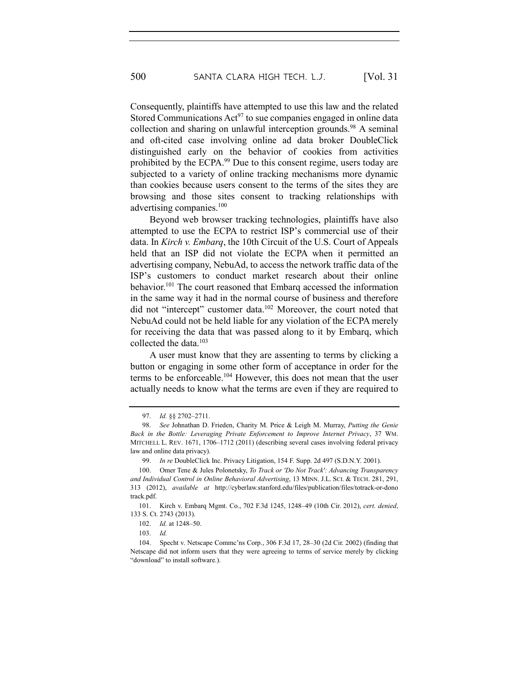Consequently, plaintiffs have attempted to use this law and the related Stored Communications  $\text{Act}^{97}$  to sue companies engaged in online data collection and sharing on unlawful interception grounds.<sup>98</sup> A seminal and oft-cited case involving online ad data broker DoubleClick distinguished early on the behavior of cookies from activities prohibited by the ECPA.<sup>99</sup> Due to this consent regime, users today are subjected to a variety of online tracking mechanisms more dynamic than cookies because users consent to the terms of the sites they are browsing and those sites consent to tracking relationships with advertising companies.100

Beyond web browser tracking technologies, plaintiffs have also attempted to use the ECPA to restrict ISP's commercial use of their data. In *Kirch v. Embarq*, the 10th Circuit of the U.S. Court of Appeals held that an ISP did not violate the ECPA when it permitted an advertising company, NebuAd, to access the network traffic data of the ISP's customers to conduct market research about their online behavior.101 The court reasoned that Embarq accessed the information in the same way it had in the normal course of business and therefore did not "intercept" customer data.102 Moreover, the court noted that NebuAd could not be held liable for any violation of the ECPA merely for receiving the data that was passed along to it by Embarq, which collected the data.103

A user must know that they are assenting to terms by clicking a button or engaging in some other form of acceptance in order for the terms to be enforceable.<sup>104</sup> However, this does not mean that the user actually needs to know what the terms are even if they are required to

<sup>97.</sup> *Id.* §§ 2702–2711.

<sup>98.</sup> *See* Johnathan D. Frieden, Charity M. Price & Leigh M. Murray, *Putting the Genie Back in the Bottle: Leveraging Private Enforcement to Improve Internet Privacy*, 37 WM. MITCHELL L. REV. 1671, 1706–1712 (2011) (describing several cases involving federal privacy law and online data privacy).

<sup>99.</sup> *In re* DoubleClick Inc. Privacy Litigation, 154 F. Supp. 2d 497 (S.D.N.Y. 2001).

<sup>100.</sup> Omer Tene & Jules Polonetsky, *To Track or 'Do Not Track': Advancing Transparency and Individual Control in Online Behavioral Advertising*, 13 MINN. J.L. SCI. & TECH. 281, 291, 313 (2012), *available at* http://cyberlaw.stanford.edu/files/publication/files/totrack-or-dono track.pdf.

<sup>101.</sup> Kirch v. Embarq Mgmt. Co., 702 F.3d 1245, 1248–49 (10th Cir. 2012), *cert. denied*, 133 S. Ct. 2743 (2013).

<sup>102.</sup> *Id.* at 1248–50.

<sup>103.</sup> *Id.*

<sup>104.</sup> Specht v. Netscape Commc'ns Corp., 306 F.3d 17, 28–30 (2d Cir. 2002) (finding that Netscape did not inform users that they were agreeing to terms of service merely by clicking "download" to install software.).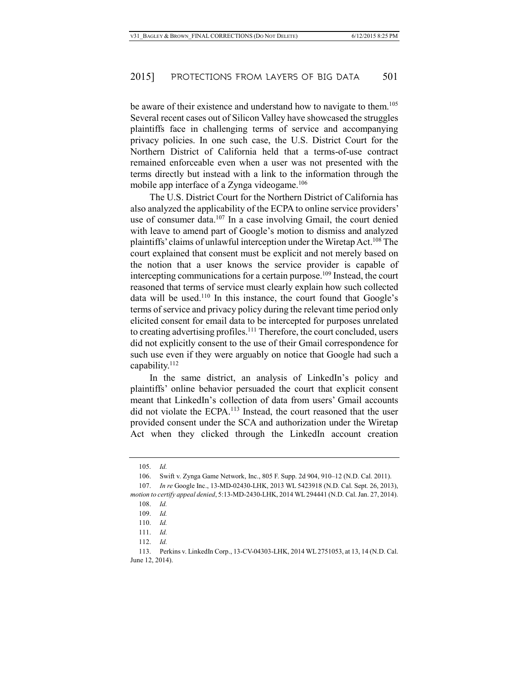be aware of their existence and understand how to navigate to them.<sup>105</sup> Several recent cases out of Silicon Valley have showcased the struggles plaintiffs face in challenging terms of service and accompanying privacy policies. In one such case, the U.S. District Court for the Northern District of California held that a terms-of-use contract remained enforceable even when a user was not presented with the terms directly but instead with a link to the information through the mobile app interface of a Zynga videogame.<sup>106</sup>

The U.S. District Court for the Northern District of California has also analyzed the applicability of the ECPA to online service providers' use of consumer data.<sup>107</sup> In a case involving Gmail, the court denied with leave to amend part of Google's motion to dismiss and analyzed plaintiffs' claims of unlawful interception under the Wiretap Act.108 The court explained that consent must be explicit and not merely based on the notion that a user knows the service provider is capable of intercepting communications for a certain purpose.<sup>109</sup> Instead, the court reasoned that terms of service must clearly explain how such collected data will be used.<sup>110</sup> In this instance, the court found that Google's terms of service and privacy policy during the relevant time period only elicited consent for email data to be intercepted for purposes unrelated to creating advertising profiles.111 Therefore, the court concluded, users did not explicitly consent to the use of their Gmail correspondence for such use even if they were arguably on notice that Google had such a capability.112

In the same district, an analysis of LinkedIn's policy and plaintiffs' online behavior persuaded the court that explicit consent meant that LinkedIn's collection of data from users' Gmail accounts did not violate the ECPA.<sup>113</sup> Instead, the court reasoned that the user provided consent under the SCA and authorization under the Wiretap Act when they clicked through the LinkedIn account creation

112. *Id.*

<sup>105.</sup> *Id.*

<sup>106.</sup> Swift v. Zynga Game Network, Inc., 805 F. Supp. 2d 904, 910–12 (N.D. Cal. 2011).

<sup>107.</sup> *In re* Google Inc., 13-MD-02430-LHK, 2013 WL 5423918 (N.D. Cal. Sept. 26, 2013), *motion to certify appeal denied*, 5:13-MD-2430-LHK, 2014 WL 294441 (N.D. Cal. Jan. 27, 2014).

<sup>108.</sup> *Id.*

<sup>109.</sup> *Id.*

<sup>110.</sup> *Id.*

<sup>111.</sup> *Id.*

<sup>113.</sup> Perkins v. LinkedIn Corp., 13-CV-04303-LHK, 2014 WL 2751053, at 13, 14 (N.D. Cal. June 12, 2014).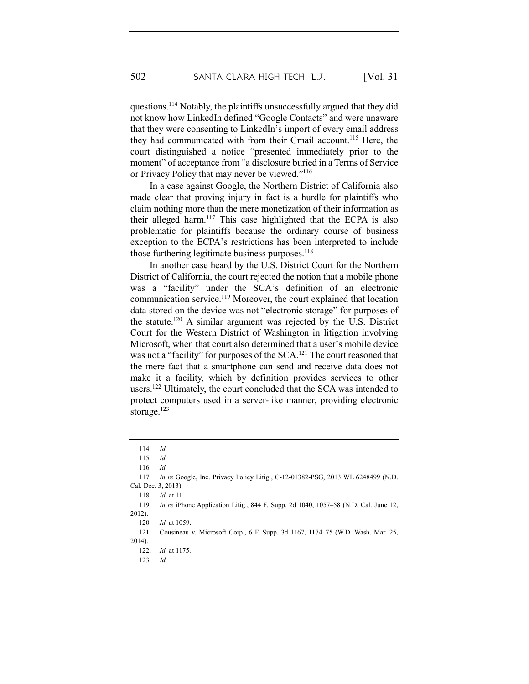questions.114 Notably, the plaintiffs unsuccessfully argued that they did not know how LinkedIn defined "Google Contacts" and were unaware that they were consenting to LinkedIn's import of every email address they had communicated with from their Gmail account.<sup>115</sup> Here, the court distinguished a notice "presented immediately prior to the moment" of acceptance from "a disclosure buried in a Terms of Service or Privacy Policy that may never be viewed."116

In a case against Google, the Northern District of California also made clear that proving injury in fact is a hurdle for plaintiffs who claim nothing more than the mere monetization of their information as their alleged harm.117 This case highlighted that the ECPA is also problematic for plaintiffs because the ordinary course of business exception to the ECPA's restrictions has been interpreted to include those furthering legitimate business purposes. $118$ 

In another case heard by the U.S. District Court for the Northern District of California, the court rejected the notion that a mobile phone was a "facility" under the SCA's definition of an electronic communication service.119 Moreover, the court explained that location data stored on the device was not "electronic storage" for purposes of the statute.120 A similar argument was rejected by the U.S. District Court for the Western District of Washington in litigation involving Microsoft, when that court also determined that a user's mobile device was not a "facility" for purposes of the SCA.<sup>121</sup> The court reasoned that the mere fact that a smartphone can send and receive data does not make it a facility, which by definition provides services to other users.122 Ultimately, the court concluded that the SCA was intended to protect computers used in a server-like manner, providing electronic storage. $123$ 

118. *Id.* at 11.

<sup>114.</sup> *Id.*

<sup>115.</sup> *Id.*

<sup>116.</sup> *Id.*

<sup>117.</sup> *In re* Google, Inc. Privacy Policy Litig., C-12-01382-PSG, 2013 WL 6248499 (N.D. Cal. Dec. 3, 2013).

<sup>119.</sup> *In re* iPhone Application Litig., 844 F. Supp. 2d 1040, 1057–58 (N.D. Cal. June 12, 2012).

<sup>120.</sup> *Id.* at 1059.

<sup>121.</sup> Cousineau v. Microsoft Corp., 6 F. Supp. 3d 1167, 1174–75 (W.D. Wash. Mar. 25, 2014).

<sup>122.</sup> *Id.* at 1175.

<sup>123.</sup> *Id.*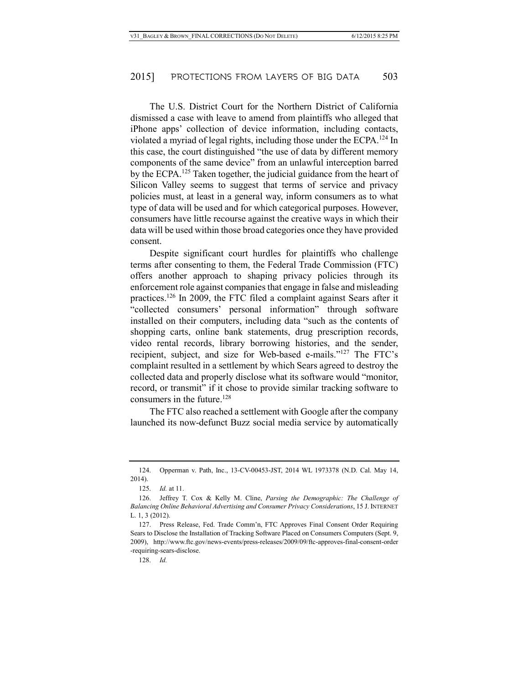The U.S. District Court for the Northern District of California dismissed a case with leave to amend from plaintiffs who alleged that iPhone apps' collection of device information, including contacts, violated a myriad of legal rights, including those under the ECPA.124 In this case, the court distinguished "the use of data by different memory components of the same device" from an unlawful interception barred by the ECPA.<sup>125</sup> Taken together, the judicial guidance from the heart of Silicon Valley seems to suggest that terms of service and privacy policies must, at least in a general way, inform consumers as to what type of data will be used and for which categorical purposes. However, consumers have little recourse against the creative ways in which their data will be used within those broad categories once they have provided consent.

Despite significant court hurdles for plaintiffs who challenge terms after consenting to them, the Federal Trade Commission (FTC) offers another approach to shaping privacy policies through its enforcement role against companies that engage in false and misleading practices.126 In 2009, the FTC filed a complaint against Sears after it "collected consumers' personal information" through software installed on their computers, including data "such as the contents of shopping carts, online bank statements, drug prescription records, video rental records, library borrowing histories, and the sender, recipient, subject, and size for Web-based e-mails."127 The FTC's complaint resulted in a settlement by which Sears agreed to destroy the collected data and properly disclose what its software would "monitor, record, or transmit" if it chose to provide similar tracking software to consumers in the future.128

The FTC also reached a settlement with Google after the company launched its now-defunct Buzz social media service by automatically

<sup>124.</sup> Opperman v. Path, Inc., 13-CV-00453-JST, 2014 WL 1973378 (N.D. Cal. May 14, 2014).

<sup>125.</sup> *Id.* at 11.

<sup>126.</sup> Jeffrey T. Cox & Kelly M. Cline, *Parsing the Demographic: The Challenge of Balancing Online Behavioral Advertising and Consumer Privacy Considerations*, 15 J. INTERNET L. 1, 3 (2012).

<sup>127.</sup> Press Release, Fed. Trade Comm'n, FTC Approves Final Consent Order Requiring Sears to Disclose the Installation of Tracking Software Placed on Consumers Computers (Sept. 9, 2009), http://www.ftc.gov/news-events/press-releases/2009/09/ftc-approves-final-consent-order -requiring-sears-disclose.

<sup>128.</sup> *Id.*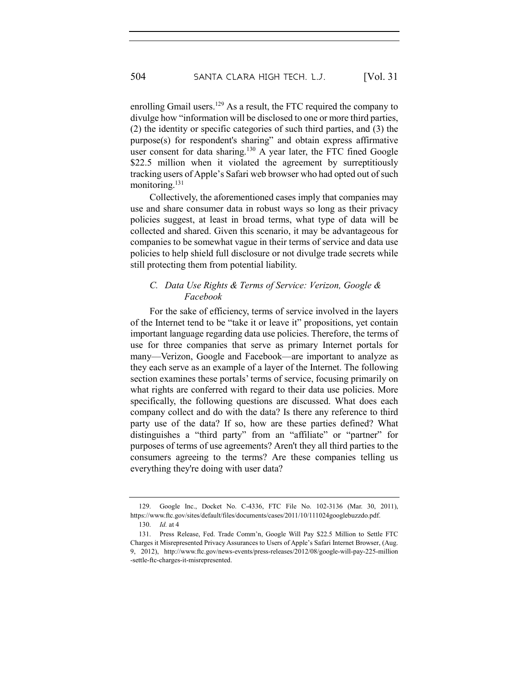enrolling Gmail users.<sup>129</sup> As a result, the FTC required the company to divulge how "information will be disclosed to one or more third parties, (2) the identity or specific categories of such third parties, and (3) the purpose(s) for respondent's sharing" and obtain express affirmative user consent for data sharing.<sup>130</sup> A year later, the FTC fined Google \$22.5 million when it violated the agreement by surreptitiously tracking users of Apple's Safari web browser who had opted out of such monitoring.<sup>131</sup>

Collectively, the aforementioned cases imply that companies may use and share consumer data in robust ways so long as their privacy policies suggest, at least in broad terms, what type of data will be collected and shared. Given this scenario, it may be advantageous for companies to be somewhat vague in their terms of service and data use policies to help shield full disclosure or not divulge trade secrets while still protecting them from potential liability.

# *C. Data Use Rights & Terms of Service: Verizon, Google & Facebook*

For the sake of efficiency, terms of service involved in the layers of the Internet tend to be "take it or leave it" propositions, yet contain important language regarding data use policies. Therefore, the terms of use for three companies that serve as primary Internet portals for many—Verizon, Google and Facebook—are important to analyze as they each serve as an example of a layer of the Internet. The following section examines these portals' terms of service, focusing primarily on what rights are conferred with regard to their data use policies. More specifically, the following questions are discussed. What does each company collect and do with the data? Is there any reference to third party use of the data? If so, how are these parties defined? What distinguishes a "third party" from an "affiliate" or "partner" for purposes of terms of use agreements? Aren't they all third parties to the consumers agreeing to the terms? Are these companies telling us everything they're doing with user data?

<sup>129.</sup> Google Inc., Docket No. C-4336, FTC File No. 102-3136 (Mar. 30, 2011), https://www.ftc.gov/sites/default/files/documents/cases/2011/10/111024googlebuzzdo.pdf.

<sup>130.</sup> *Id.* at 4

<sup>131.</sup> Press Release, Fed. Trade Comm'n, Google Will Pay \$22.5 Million to Settle FTC Charges it Misrepresented Privacy Assurances to Users of Apple's Safari Internet Browser, (Aug. 9, 2012), http://www.ftc.gov/news-events/press-releases/2012/08/google-will-pay-225-million -settle-ftc-charges-it-misrepresented.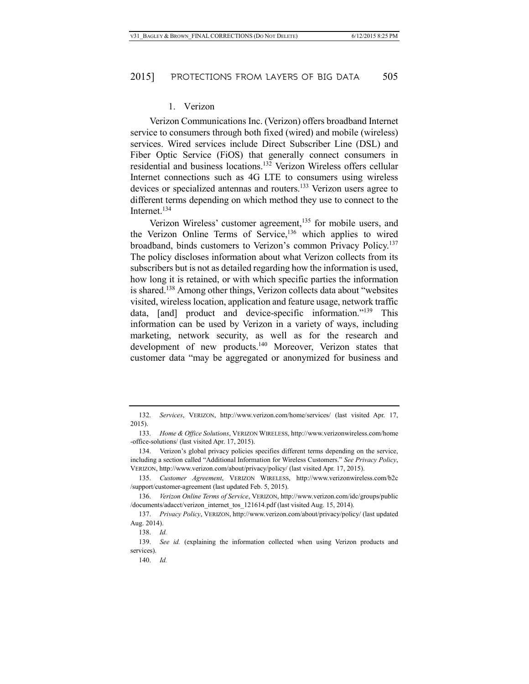#### 1. Verizon

Verizon Communications Inc. (Verizon) offers broadband Internet service to consumers through both fixed (wired) and mobile (wireless) services. Wired services include Direct Subscriber Line (DSL) and Fiber Optic Service (FiOS) that generally connect consumers in residential and business locations.132 Verizon Wireless offers cellular Internet connections such as 4G LTE to consumers using wireless devices or specialized antennas and routers.<sup>133</sup> Verizon users agree to different terms depending on which method they use to connect to the Internet.<sup>134</sup>

Verizon Wireless' customer agreement,<sup>135</sup> for mobile users, and the Verizon Online Terms of Service,<sup>136</sup> which applies to wired broadband, binds customers to Verizon's common Privacy Policy.137 The policy discloses information about what Verizon collects from its subscribers but is not as detailed regarding how the information is used, how long it is retained, or with which specific parties the information is shared.138 Among other things, Verizon collects data about "websites visited, wireless location, application and feature usage, network traffic data, [and] product and device-specific information."<sup>139</sup> This information can be used by Verizon in a variety of ways, including marketing, network security, as well as for the research and development of new products.<sup>140</sup> Moreover, Verizon states that customer data "may be aggregated or anonymized for business and

<sup>132.</sup> *Services*, VERIZON, http://www.verizon.com/home/services/ (last visited Apr. 17, 2015).

<sup>133.</sup> *Home & Office Solutions*, VERIZON WIRELESS, http://www.verizonwireless.com/home -office-solutions/ (last visited Apr. 17, 2015).

<sup>134.</sup> Verizon's global privacy policies specifies different terms depending on the service, including a section called "Additional Information for Wireless Customers." *See Privacy Policy*, VERIZON, http://www.verizon.com/about/privacy/policy/ (last visited Apr. 17, 2015).

<sup>135.</sup> *Customer Agreement*, VERIZON WIRELESS, http://www.verizonwireless.com/b2c /support/customer-agreement (last updated Feb. 5, 2015).

<sup>136.</sup> *Verizon Online Terms of Service*, VERIZON, http://www.verizon.com/idc/groups/public /documents/adacct/verizon\_internet\_tos\_121614.pdf (last visited Aug. 15, 2014).

<sup>137.</sup> *Privacy Policy*, VERIZON, http://www.verizon.com/about/privacy/policy/ (last updated Aug. 2014).

<sup>138.</sup> *Id.*

<sup>139.</sup> *See id.* (explaining the information collected when using Verizon products and services).

<sup>140.</sup> *Id.*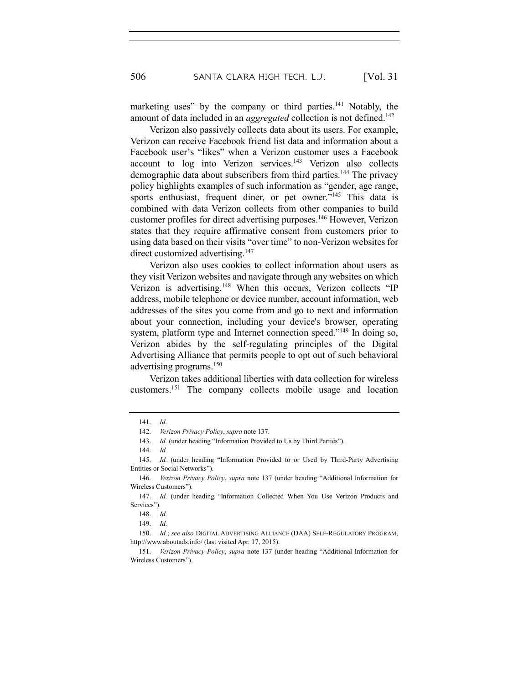marketing uses" by the company or third parties.<sup>141</sup> Notably, the amount of data included in an *aggregated* collection is not defined.<sup>142</sup>

Verizon also passively collects data about its users. For example, Verizon can receive Facebook friend list data and information about a Facebook user's "likes" when a Verizon customer uses a Facebook account to log into Verizon services.<sup>143</sup> Verizon also collects demographic data about subscribers from third parties.<sup>144</sup> The privacy policy highlights examples of such information as "gender, age range, sports enthusiast, frequent diner, or pet owner.<sup>"145</sup> This data is combined with data Verizon collects from other companies to build customer profiles for direct advertising purposes.146 However, Verizon states that they require affirmative consent from customers prior to using data based on their visits "over time" to non-Verizon websites for direct customized advertising.<sup>147</sup>

Verizon also uses cookies to collect information about users as they visit Verizon websites and navigate through any websites on which Verizon is advertising.<sup>148</sup> When this occurs, Verizon collects "IP address, mobile telephone or device number, account information, web addresses of the sites you come from and go to next and information about your connection, including your device's browser, operating system, platform type and Internet connection speed."<sup>149</sup> In doing so, Verizon abides by the self-regulating principles of the Digital Advertising Alliance that permits people to opt out of such behavioral advertising programs.<sup>150</sup>

Verizon takes additional liberties with data collection for wireless customers.151 The company collects mobile usage and location

<sup>141.</sup> *Id.*

<sup>142.</sup> *Verizon Privacy Policy*, *supra* note 137.

<sup>143.</sup> *Id.* (under heading "Information Provided to Us by Third Parties").

<sup>144.</sup> *Id.*

<sup>145.</sup> *Id.* (under heading "Information Provided to or Used by Third-Party Advertising Entities or Social Networks").

<sup>146.</sup> *Verizon Privacy Policy*, *supra* note 137 (under heading "Additional Information for Wireless Customers").

<sup>147.</sup> *Id.* (under heading "Information Collected When You Use Verizon Products and Services").

<sup>148.</sup> *Id.*

<sup>149.</sup> *Id.*

<sup>150.</sup> *Id.*; *see also* DIGITAL ADVERTISING ALLIANCE (DAA) SELF-REGULATORY PROGRAM, http://www.aboutads.info/ (last visited Apr. 17, 2015).

<sup>151.</sup> *Verizon Privacy Policy*, *supra* note 137 (under heading "Additional Information for Wireless Customers").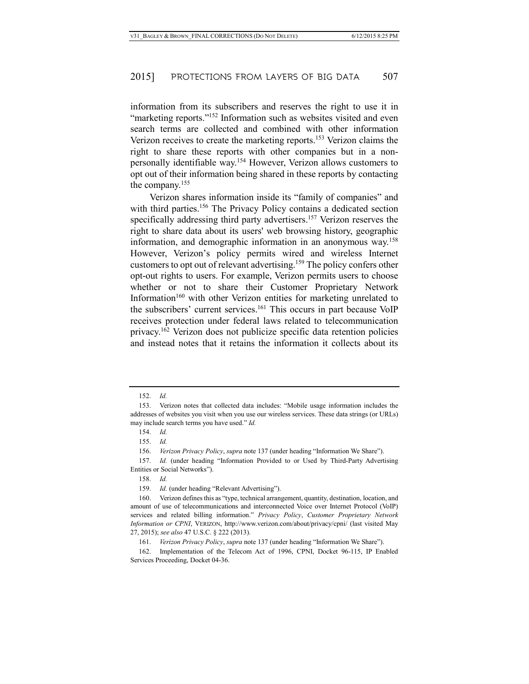information from its subscribers and reserves the right to use it in "marketing reports."<sup>152</sup> Information such as websites visited and even search terms are collected and combined with other information Verizon receives to create the marketing reports.<sup>153</sup> Verizon claims the right to share these reports with other companies but in a nonpersonally identifiable way.154 However, Verizon allows customers to opt out of their information being shared in these reports by contacting the company.155

Verizon shares information inside its "family of companies" and with third parties.<sup>156</sup> The Privacy Policy contains a dedicated section specifically addressing third party advertisers.<sup>157</sup> Verizon reserves the right to share data about its users' web browsing history, geographic information, and demographic information in an anonymous way.158 However, Verizon's policy permits wired and wireless Internet customers to opt out of relevant advertising.159 The policy confers other opt-out rights to users. For example, Verizon permits users to choose whether or not to share their Customer Proprietary Network Information<sup>160</sup> with other Verizon entities for marketing unrelated to the subscribers' current services.<sup>161</sup> This occurs in part because VoIP receives protection under federal laws related to telecommunication privacy.162 Verizon does not publicize specific data retention policies and instead notes that it retains the information it collects about its

<sup>152.</sup> *Id.*

<sup>153.</sup> Verizon notes that collected data includes: "Mobile usage information includes the addresses of websites you visit when you use our wireless services. These data strings (or URLs) may include search terms you have used." *Id.*

<sup>154.</sup> *Id.*

<sup>155.</sup> *Id.*

<sup>156.</sup> *Verizon Privacy Policy*, *supra* note 137 (under heading "Information We Share").

<sup>157.</sup> *Id.* (under heading "Information Provided to or Used by Third-Party Advertising Entities or Social Networks").

<sup>158.</sup> *Id.*

<sup>159.</sup> *Id.* (under heading "Relevant Advertising").

<sup>160.</sup> Verizon defines this as "type, technical arrangement, quantity, destination, location, and amount of use of telecommunications and interconnected Voice over Internet Protocol (VoIP) services and related billing information." *Privacy Policy*, *Customer Proprietary Network Information or CPNI*, VERIZON, http://www.verizon.com/about/privacy/cpni/ (last visited May 27, 2015); *see also* 47 U.S.C. § 222 (2013).

<sup>161.</sup> *Verizon Privacy Policy*, *supra* note 137 (under heading "Information We Share").

<sup>162.</sup> Implementation of the Telecom Act of 1996, CPNI, Docket 96-115, IP Enabled Services Proceeding, Docket 04-36.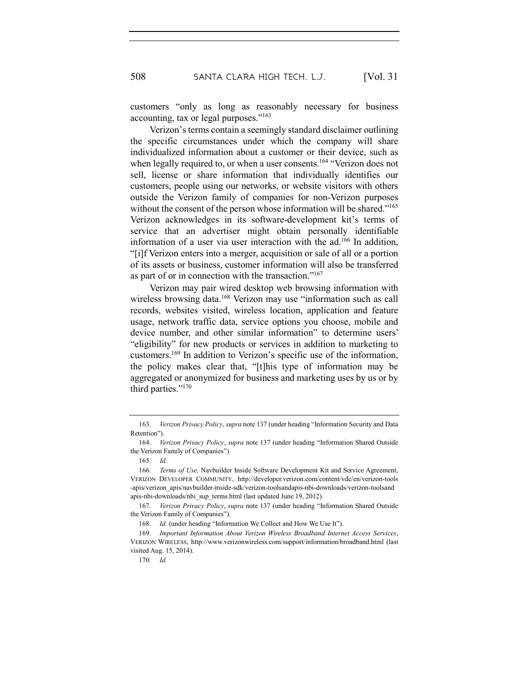customers "only as long as reasonably necessary for business accounting, tax or legal purposes."163

Verizon's terms contain a seemingly standard disclaimer outlining the specific circumstances under which the company will share individualized information about a customer or their device, such as when legally required to, or when a user consents.<sup>164</sup> "Verizon does not sell, license or share information that individually identifies our customers, people using our networks, or website visitors with others outside the Verizon family of companies for non-Verizon purposes without the consent of the person whose information will be shared."<sup>165</sup> Verizon acknowledges in its software-development kit's terms of service that an advertiser might obtain personally identifiable information of a user via user interaction with the ad.166 In addition, "[i]f Verizon enters into a merger, acquisition or sale of all or a portion of its assets or business, customer information will also be transferred as part of or in connection with the transaction."167

Verizon may pair wired desktop web browsing information with wireless browsing data.<sup>168</sup> Verizon may use "information such as call records, websites visited, wireless location, application and feature usage, network traffic data, service options you choose, mobile and device number, and other similar information" to determine users' "eligibility" for new products or services in addition to marketing to customers.169 In addition to Verizon's specific use of the information, the policy makes clear that, "[t]his type of information may be aggregated or anonymized for business and marketing uses by us or by third parties."170

<sup>163.</sup> *Verizon Privacy Policy*, *supra* note 137 (under heading "Information Security and Data Retention").

<sup>164.</sup> *Verizon Privacy Policy*, *supra* note 137 (under heading "Information Shared Outside the Verizon Family of Companies").

<sup>165.</sup> *Id.*

<sup>166.</sup> *Terms of Use,* Navbuilder Inside Software Development Kit and Service Agreement, VERIZON DEVELOPER COMMUNITY, http://developer.verizon.com/content/vdc/en/verizon-tools -apis/verizon\_apis/navbuilder-inside-sdk/verizon-toolsandapis-nbi-downloads/verizon-toolsand apis-nbi-downloads/nbi\_sup\_terms.html (last updated June 19, 2012).

<sup>167.</sup> *Verizon Privacy Policy*, *supra* note 137 (under heading "Information Shared Outside the Verizon Family of Companies").

<sup>168.</sup> *Id.* (under heading "Information We Collect and How We Use It").

<sup>169.</sup> *Important Information About Verizon Wireless Broadband Internet Access Services*, VERIZON WIRELESS, http://www.verizonwireless.com/support/information/broadband.html (last visited Aug. 15, 2014).

<sup>170.</sup> *Id.*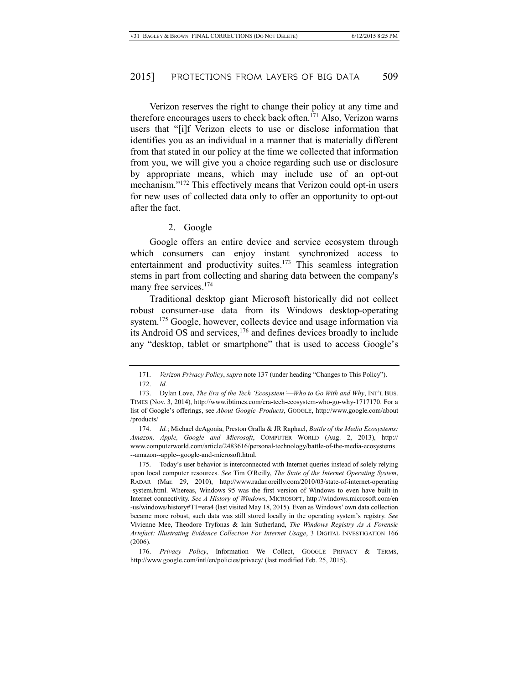Verizon reserves the right to change their policy at any time and therefore encourages users to check back often.171 Also, Verizon warns users that "[i]f Verizon elects to use or disclose information that identifies you as an individual in a manner that is materially different from that stated in our policy at the time we collected that information from you, we will give you a choice regarding such use or disclosure by appropriate means, which may include use of an opt-out mechanism."172 This effectively means that Verizon could opt-in users for new uses of collected data only to offer an opportunity to opt-out after the fact.

#### 2. Google

Google offers an entire device and service ecosystem through which consumers can enjoy instant synchronized access to entertainment and productivity suites.<sup>173</sup> This seamless integration stems in part from collecting and sharing data between the company's many free services.<sup>174</sup>

Traditional desktop giant Microsoft historically did not collect robust consumer-use data from its Windows desktop-operating system.<sup>175</sup> Google, however, collects device and usage information via its Android OS and services,176 and defines devices broadly to include any "desktop, tablet or smartphone" that is used to access Google's

175. Today's user behavior is interconnected with Internet queries instead of solely relying upon local computer resources. *See* Tim O'Reilly, *The State of the Internet Operating System*, RADAR (Mar. 29, 2010), http://www.radar.oreilly.com/2010/03/state-of-internet-operating -system.html. Whereas, Windows 95 was the first version of Windows to even have built-in Internet connectivity. *See A History of Windows*, MICROSOFT, http://windows.microsoft.com/en -us/windows/history#T1=era4 (last visited May 18, 2015). Even as Windows' own data collection became more robust, such data was still stored locally in the operating system's registry. *See* Vivienne Mee, Theodore Tryfonas & Iain Sutherland, *The Windows Registry As A Forensic Artefact: Illustrating Evidence Collection For Internet Usage*, 3 DIGITAL INVESTIGATION 166 (2006).

176. *Privacy Policy*, Information We Collect, GOOGLE PRIVACY & TERMS, http://www.google.com/intl/en/policies/privacy/ (last modified Feb. 25, 2015).

<sup>171.</sup> *Verizon Privacy Policy*, *supra* note 137 (under heading "Changes to This Policy").

<sup>172.</sup> *Id.*

<sup>173.</sup> Dylan Love, *The Era of the Tech 'Ecosystem'*—*Who to Go With and Why*, INT'L BUS. TIMES (Nov. 3, 2014), http://www.ibtimes.com/era-tech-ecosystem-who-go-why-1717170. For a list of Google's offerings, see *About Google*–*Products*, GOOGLE, http://www.google.com/about /products/

<sup>174.</sup> *Id.*; Michael deAgonia, Preston Gralla & JR Raphael, *Battle of the Media Ecosystems: Amazon, Apple, Google and Microsoft*, COMPUTER WORLD (Aug. 2, 2013), http:// www.computerworld.com/article/2483616/personal-technology/battle-of-the-media-ecosystems --amazon--apple--google-and-microsoft.html.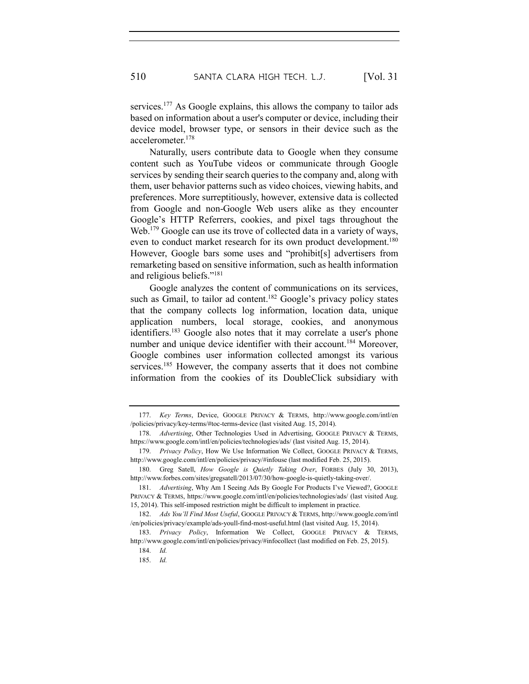services.<sup>177</sup> As Google explains, this allows the company to tailor ads based on information about a user's computer or device, including their device model, browser type, or sensors in their device such as the accelerometer.178

Naturally, users contribute data to Google when they consume content such as YouTube videos or communicate through Google services by sending their search queries to the company and, along with them, user behavior patterns such as video choices, viewing habits, and preferences. More surreptitiously, however, extensive data is collected from Google and non-Google Web users alike as they encounter Google's HTTP Referrers, cookies, and pixel tags throughout the Web.<sup>179</sup> Google can use its trove of collected data in a variety of ways, even to conduct market research for its own product development.<sup>180</sup> However, Google bars some uses and "prohibit[s] advertisers from remarketing based on sensitive information, such as health information and religious beliefs."181

Google analyzes the content of communications on its services, such as Gmail, to tailor ad content.<sup>182</sup> Google's privacy policy states that the company collects log information, location data, unique application numbers, local storage, cookies, and anonymous identifiers.<sup>183</sup> Google also notes that it may correlate a user's phone number and unique device identifier with their account.<sup>184</sup> Moreover, Google combines user information collected amongst its various services.<sup>185</sup> However, the company asserts that it does not combine information from the cookies of its DoubleClick subsidiary with

<sup>177.</sup> *Key Terms*, Device, GOOGLE PRIVACY & TERMS, http://www.google.com/intl/en /policies/privacy/key-terms/#toc-terms-device (last visited Aug. 15, 2014).

<sup>178.</sup> *Advertising*, Other Technologies Used in Advertising, GOOGLE PRIVACY & TERMS, https://www.google.com/intl/en/policies/technologies/ads/ (last visited Aug. 15, 2014).

<sup>179.</sup> *Privacy Policy*, How We Use Information We Collect, GOOGLE PRIVACY & TERMS, http://www.google.com/intl/en/policies/privacy/#infouse (last modified Feb. 25, 2015).

<sup>180.</sup> Greg Satell, *How Google is Quietly Taking Over*, FORBES (July 30, 2013), http://www.forbes.com/sites/gregsatell/2013/07/30/how-google-is-quietly-taking-over/.

<sup>181.</sup> *Advertising*, Why Am I Seeing Ads By Google For Products I've Viewed?, GOOGLE PRIVACY & TERMS, https://www.google.com/intl/en/policies/technologies/ads/ (last visited Aug. 15, 2014). This self-imposed restriction might be difficult to implement in practice.

<sup>182.</sup> *Ads You'll Find Most Useful*, GOOGLE PRIVACY & TERMS, http://www.google.com/intl /en/policies/privacy/example/ads-youll-find-most-useful.html (last visited Aug. 15, 2014).

<sup>183.</sup> *Privacy Policy*, Information We Collect, GOOGLE PRIVACY & TERMS, http://www.google.com/intl/en/policies/privacy/#infocollect (last modified on Feb. 25, 2015).

<sup>184.</sup> *Id.*

<sup>185.</sup> *Id.*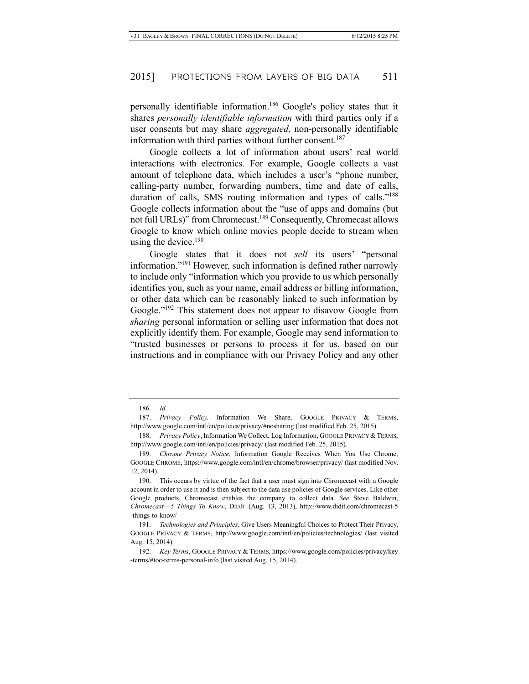personally identifiable information.186 Google's policy states that it shares *personally identifiable information* with third parties only if a user consents but may share *aggregated*, non-personally identifiable information with third parties without further consent.<sup>187</sup>

Google collects a lot of information about users' real world interactions with electronics. For example, Google collects a vast amount of telephone data, which includes a user's "phone number, calling-party number, forwarding numbers, time and date of calls, duration of calls, SMS routing information and types of calls."<sup>188</sup> Google collects information about the "use of apps and domains (but not full URLs)" from Chromecast.<sup>189</sup> Consequently, Chromecast allows Google to know which online movies people decide to stream when using the device.<sup>190</sup>

Google states that it does not *sell* its users' "personal information."191 However, such information is defined rather narrowly to include only "information which you provide to us which personally identifies you, such as your name, email address or billing information, or other data which can be reasonably linked to such information by Google."<sup>192</sup> This statement does not appear to disavow Google from *sharing* personal information or selling user information that does not explicitly identify them. For example, Google may send information to "trusted businesses or persons to process it for us, based on our instructions and in compliance with our Privacy Policy and any other

<sup>186.</sup> *Id.*

<sup>187.</sup> *Privacy Policy,* Information We Share, GOOGLE PRIVACY & TERMS, http://www.google.com/intl/en/policies/privacy/#nosharing (last modified Feb. 25, 2015).

<sup>188.</sup> Privacy Policy, Information We Collect, Log Information, GOOGLE PRIVACY & TERMS, http://www.google.com/intl/en/policies/privacy/ (last modified Feb. 25, 2015).

<sup>189.</sup> *Chrome Privacy Notice*, Information Google Receives When You Use Chrome, GOOGLE CHROME, https://www.google.com/intl/en/chrome/browser/privacy/ (last modified Nov. 12, 2014).

<sup>190.</sup> This occurs by virtue of the fact that a user must sign into Chromecast with a Google account in order to use it and is then subject to the data use policies of Google services. Like other Google products, Chromecast enables the company to collect data. *See* Steve Baldwin, *Chromecast*—*5 Things To Know*, DIDIT (Aug. 13, 2013), http://www.didit.com/chromecast-5 -things-to-know/

<sup>191.</sup> *Technologies and Principles*, Give Users Meaningful Choices to Protect Their Privacy, GOOGLE PRIVACY & TERMS, http://www.google.com/intl/en/policies/technologies/ (last visited Aug. 15, 2014).

<sup>192.</sup> *Key Terms*, GOOGLE PRIVACY & TERMS, https://www.google.com/policies/privacy/key -terms/#toc-terms-personal-info (last visited Aug. 15, 2014).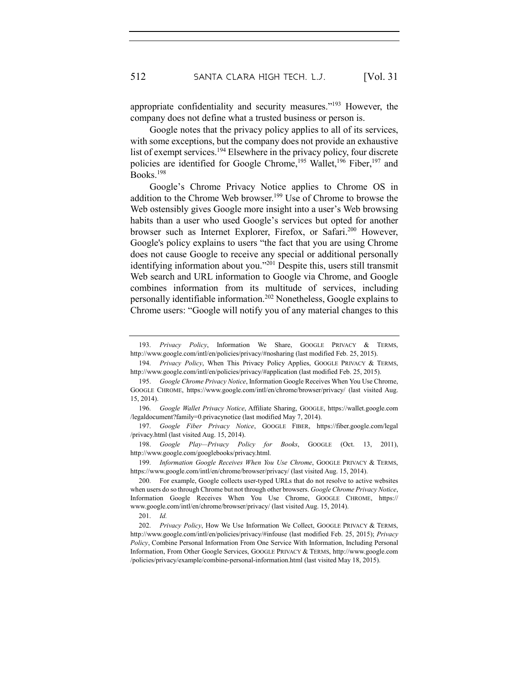appropriate confidentiality and security measures."193 However, the company does not define what a trusted business or person is.

Google notes that the privacy policy applies to all of its services, with some exceptions, but the company does not provide an exhaustive list of exempt services.194 Elsewhere in the privacy policy, four discrete policies are identified for Google Chrome,<sup>195</sup> Wallet,<sup>196</sup> Fiber,<sup>197</sup> and Books.198

Google's Chrome Privacy Notice applies to Chrome OS in addition to the Chrome Web browser.<sup>199</sup> Use of Chrome to browse the Web ostensibly gives Google more insight into a user's Web browsing habits than a user who used Google's services but opted for another browser such as Internet Explorer, Firefox, or Safari.200 However, Google's policy explains to users "the fact that you are using Chrome does not cause Google to receive any special or additional personally identifying information about you."201 Despite this, users still transmit Web search and URL information to Google via Chrome, and Google combines information from its multitude of services, including personally identifiable information.202 Nonetheless, Google explains to Chrome users: "Google will notify you of any material changes to this

198. *Google Play—Privacy Policy for Books*, GOOGLE (Oct. 13, 2011), http://www.google.com/googlebooks/privacy.html.

<sup>193.</sup> *Privacy Policy*, Information We Share, GOOGLE PRIVACY & TERMS, http://www.google.com/intl/en/policies/privacy/#nosharing (last modified Feb. 25, 2015).

<sup>194.</sup> *Privacy Policy*, When This Privacy Policy Applies, GOOGLE PRIVACY & TERMS, http://www.google.com/intl/en/policies/privacy/#application (last modified Feb. 25, 2015).

<sup>195.</sup> *Google Chrome Privacy Notice*, Information Google Receives When You Use Chrome, GOOGLE CHROME, https://www.google.com/intl/en/chrome/browser/privacy/ (last visited Aug. 15, 2014).

<sup>196.</sup> *Google Wallet Privacy Notice*, Affiliate Sharing, GOOGLE, https://wallet.google.com /legaldocument?family=0.privacynotice (last modified May 7, 2014).

<sup>197.</sup> *Google Fiber Privacy Notice*, GOOGLE FIBER, https://fiber.google.com/legal /privacy.html (last visited Aug. 15, 2014).

<sup>199.</sup> *Information Google Receives When You Use Chrome*, GOOGLE PRIVACY & TERMS, https://www.google.com/intl/en/chrome/browser/privacy/ (last visited Aug. 15, 2014).

<sup>200.</sup> For example, Google collects user-typed URLs that do not resolve to active websites when users do so through Chrome but not through other browsers. *Google Chrome Privacy Notice*, Information Google Receives When You Use Chrome, GOOGLE CHROME, https:// www.google.com/intl/en/chrome/browser/privacy/ (last visited Aug. 15, 2014).

<sup>201.</sup> *Id.*

<sup>202.</sup> *Privacy Policy*, How We Use Information We Collect, GOOGLE PRIVACY & TERMS, http://www.google.com/intl/en/policies/privacy/#infouse (last modified Feb. 25, 2015); *Privacy Policy*, Combine Personal Information From One Service With Information, Including Personal Information, From Other Google Services, GOOGLE PRIVACY & TERMS, http://www.google.com /policies/privacy/example/combine-personal-information.html (last visited May 18, 2015).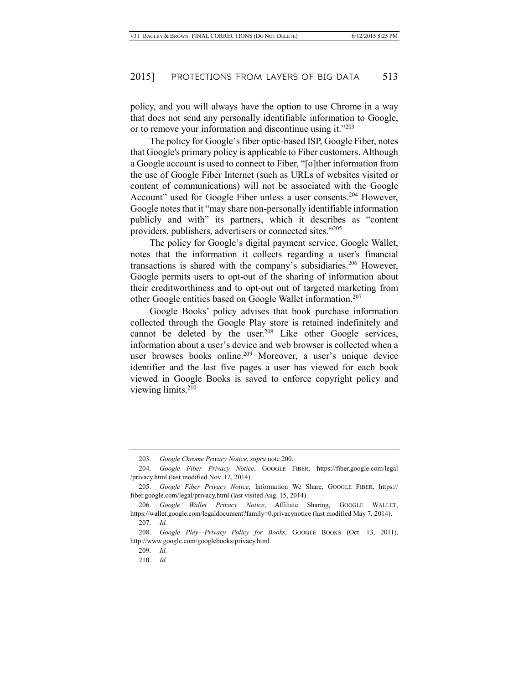policy, and you will always have the option to use Chrome in a way that does not send any personally identifiable information to Google, or to remove your information and discontinue using it."<sup>203</sup>

The policy for Google's fiber optic-based ISP, Google Fiber, notes that Google's primary policy is applicable to Fiber customers. Although a Google account is used to connect to Fiber, "[o]ther information from the use of Google Fiber Internet (such as URLs of websites visited or content of communications) will not be associated with the Google Account" used for Google Fiber unless a user consents.<sup>204</sup> However, Google notes that it "may share non-personally identifiable information publicly and with" its partners, which it describes as "content providers, publishers, advertisers or connected sites."205

The policy for Google's digital payment service, Google Wallet, notes that the information it collects regarding a user's financial transactions is shared with the company's subsidiaries.206 However, Google permits users to opt-out of the sharing of information about their creditworthiness and to opt-out out of targeted marketing from other Google entities based on Google Wallet information.207

Google Books' policy advises that book purchase information collected through the Google Play store is retained indefinitely and cannot be deleted by the user.<sup>208</sup> Like other Google services, information about a user's device and web browser is collected when a user browses books online.<sup>209</sup> Moreover, a user's unique device identifier and the last five pages a user has viewed for each book viewed in Google Books is saved to enforce copyright policy and viewing limits.<sup>210</sup>

<sup>203.</sup> *Google Chrome Privacy Notice*, *supra* note 200.

<sup>204.</sup> *Google Fiber Privacy Notice*, GOOGLE FIBER, https://fiber.google.com/legal /privacy.html (last modified Nov. 12, 2014).

<sup>205.</sup> *Google Fiber Privacy Notice*, Information We Share, GOOGLE FIBER, https:// fiber.google.com/legal/privacy.html (last visited Aug. 15, 2014).

<sup>206.</sup> *Google Wallet Privacy Notice*, Affiliate Sharing, GOOGLE WALLET, https://wallet.google.com/legaldocument?family=0.privacynotice (last modified May 7, 2014).

<sup>207.</sup> *Id.*

<sup>208.</sup> *Google Play—Privacy Policy for Books*, GOOGLE BOOKS (Oct. 13, 2011), http://www.google.com/googlebooks/privacy.html.

<sup>209.</sup> *Id.*

<sup>210.</sup> *Id.*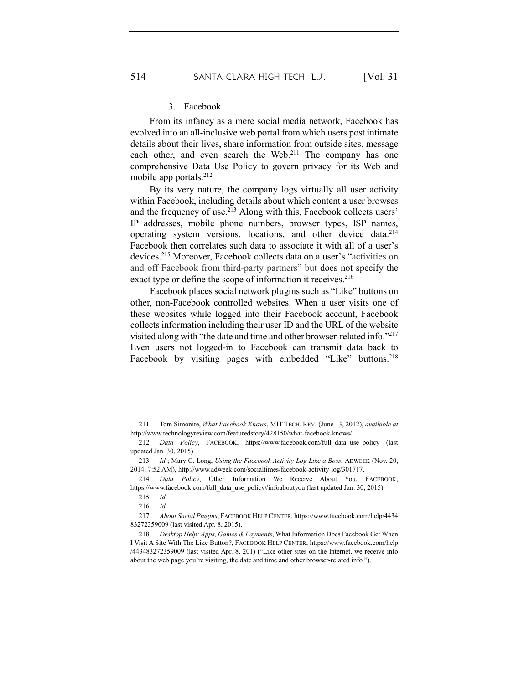#### 3. Facebook

From its infancy as a mere social media network, Facebook has evolved into an all-inclusive web portal from which users post intimate details about their lives, share information from outside sites, message each other, and even search the Web.<sup>211</sup> The company has one comprehensive Data Use Policy to govern privacy for its Web and mobile app portals.<sup>212</sup>

By its very nature, the company logs virtually all user activity within Facebook, including details about which content a user browses and the frequency of use.<sup>213</sup> Along with this, Facebook collects users' IP addresses, mobile phone numbers, browser types, ISP names, operating system versions, locations, and other device data.214 Facebook then correlates such data to associate it with all of a user's devices. <sup>215</sup> Moreover, Facebook collects data on a user's "activities on and off Facebook from third-party partners" but does not specify the exact type or define the scope of information it receives.<sup>216</sup>

Facebook places social network plugins such as "Like" buttons on other, non-Facebook controlled websites. When a user visits one of these websites while logged into their Facebook account, Facebook collects information including their user ID and the URL of the website visited along with "the date and time and other browser-related info."217 Even users not logged-in to Facebook can transmit data back to Facebook by visiting pages with embedded "Like" buttons.<sup>218</sup>

<sup>211.</sup> Tom Simonite, *What Facebook Knows*, MIT TECH. REV. (June 13, 2012), *available at* http://www.technologyreview.com/featuredstory/428150/what-facebook-knows/.

<sup>212.</sup> *Data Policy*, FACEBOOK, https://www.facebook.com/full\_data\_use\_policy (last updated Jan. 30, 2015).

<sup>213.</sup> *Id.*; Mary C. Long, *Using the Facebook Activity Log Like a Boss*, ADWEEK (Nov. 20, 2014, 7:52 AM), http://www.adweek.com/socialtimes/facebook-activity-log/301717.

<sup>214.</sup> *Data Policy*, Other Information We Receive About You, FACEBOOK, https://www.facebook.com/full\_data\_use\_policy#infoaboutyou (last updated Jan. 30, 2015).

<sup>215.</sup> *Id.* 

<sup>216.</sup> *Id.* 

<sup>217.</sup> *About Social Plugins*, FACEBOOK HELP CENTER, https://www.facebook.com/help/4434 83272359009 (last visited Apr. 8, 2015).

<sup>218.</sup> *Desktop Help: Apps, Games & Payments*, What Information Does Facebook Get When I Visit A Site With The Like Button?, FACEBOOK HELP CENTER, https://www.facebook.com/help /443483272359009 (last visited Apr. 8, 201) ("Like other sites on the Internet, we receive info about the web page you're visiting, the date and time and other browser-related info.").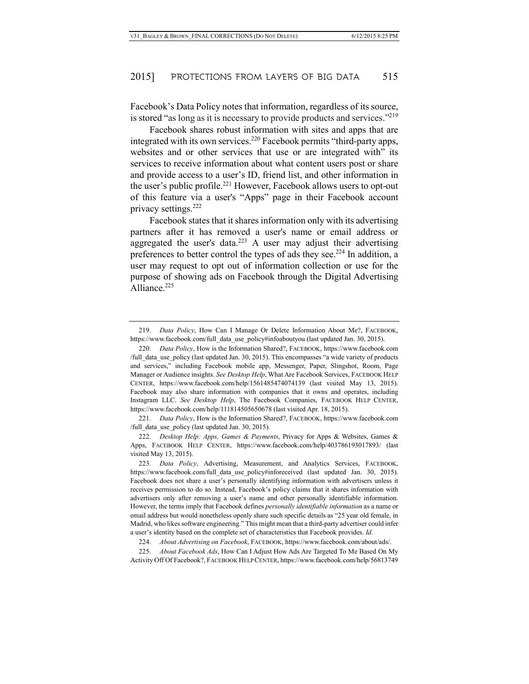Facebook's Data Policy notes that information, regardless of its source, is stored "as long as it is necessary to provide products and services."219

Facebook shares robust information with sites and apps that are integrated with its own services.<sup>220</sup> Facebook permits "third-party apps, websites and or other services that use or are integrated with" its services to receive information about what content users post or share and provide access to a user's ID, friend list, and other information in the user's public profile. <sup>221</sup> However, Facebook allows users to opt-out of this feature via a user's "Apps" page in their Facebook account privacy settings.<sup>222</sup>

Facebook states that it shares information only with its advertising partners after it has removed a user's name or email address or aggregated the user's data.<sup>223</sup> A user may adjust their advertising preferences to better control the types of ads they see.<sup>224</sup> In addition, a user may request to opt out of information collection or use for the purpose of showing ads on Facebook through the Digital Advertising Alliance.<sup>225</sup>

221. *Data Policy*, How is the Information Shared?, FACEBOOK, https://www.facebook.com /full data use policy (last updated Jan. 30, 2015).

222. *Desktop Help: Apps, Games & Payments*, Privacy for Apps & Websites, Games & Apps, FACEBOOK HELP CENTER, https://www.facebook.com/help/403786193017893/ (last visited May 13, 2015).

223. *Data Policy*, Advertising, Measurement, and Analytics Services, FACEBOOK, https://www.facebook.com/full\_data\_use\_policy#inforeceived (last updated Jan. 30, 2015). Facebook does not share a user's personally identifying information with advertisers unless it receives permission to do so. Instead, Facebook's policy claims that it shares information with advertisers only after removing a user's name and other personally identifiable information. However, the terms imply that Facebook defines *personally identifiable information* as a name or email address but would nonetheless openly share such specific details as "25 year old female, in Madrid, who likes software engineering." This might mean that a third-party advertiser could infer a user's identity based on the complete set of characteristics that Facebook provides. *Id.*

224. *About Advertising on Facebook*, FACEBOOK, https://www.facebook.com/about/ads/.

225. *About Facebook Ads*, How Can I Adjust How Ads Are Targeted To Me Based On My Activity Off Of Facebook?, FACEBOOK HELP CENTER, https://www.facebook.com/help/56813749

<sup>219.</sup> *Data Policy*, How Can I Manage Or Delete Information About Me?, FACEBOOK, https://www.facebook.com/full\_data\_use\_policy#infoaboutyou (last updated Jan. 30, 2015).

<sup>220.</sup> *Data Policy*, How is the Information Shared?, FACEBOOK, https://www.facebook.com /full\_data\_use\_policy (last updated Jan. 30, 2015). This encompasses "a wide variety of products and services," including Facebook mobile app, Messenger, Paper, Slingshot, Room, Page Manager or Audience insights. *See Desktop Help*, What Are Facebook Services, FACEBOOK HELP CENTER, https://www.facebook.com/help/1561485474074139 (last visited May 13, 2015). Facebook may also share information with companies that it owns and operates, including Instagram LLC. *See Desktop Help*, The Facebook Companies, FACEBOOK HELP CENTER, https://www.facebook.com/help/111814505650678 (last visited Apr. 18, 2015).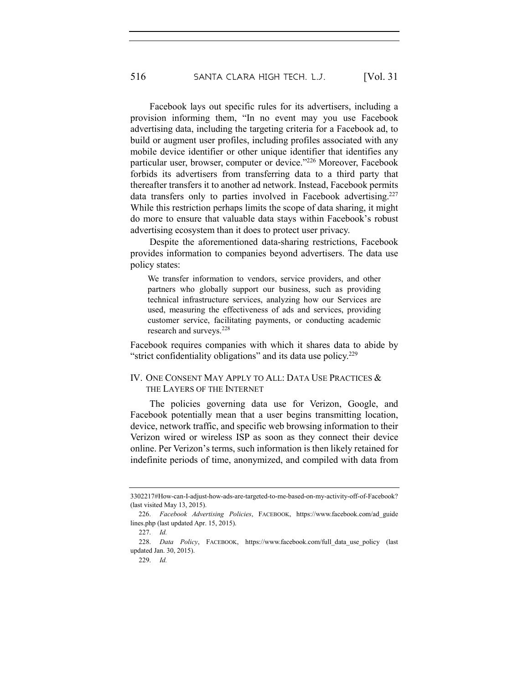Facebook lays out specific rules for its advertisers, including a provision informing them, "In no event may you use Facebook advertising data, including the targeting criteria for a Facebook ad, to build or augment user profiles, including profiles associated with any mobile device identifier or other unique identifier that identifies any particular user, browser, computer or device."226 Moreover, Facebook forbids its advertisers from transferring data to a third party that thereafter transfers it to another ad network. Instead, Facebook permits data transfers only to parties involved in Facebook advertising.<sup>227</sup> While this restriction perhaps limits the scope of data sharing, it might do more to ensure that valuable data stays within Facebook's robust advertising ecosystem than it does to protect user privacy.

Despite the aforementioned data-sharing restrictions, Facebook provides information to companies beyond advertisers. The data use policy states:

We transfer information to vendors, service providers, and other partners who globally support our business, such as providing technical infrastructure services, analyzing how our Services are used, measuring the effectiveness of ads and services, providing customer service, facilitating payments, or conducting academic research and surveys.<sup>228</sup>

Facebook requires companies with which it shares data to abide by "strict confidentiality obligations" and its data use policy.229

# IV. ONE CONSENT MAY APPLY TO ALL: DATA USE PRACTICES & THE LAYERS OF THE INTERNET

The policies governing data use for Verizon, Google, and Facebook potentially mean that a user begins transmitting location, device, network traffic, and specific web browsing information to their Verizon wired or wireless ISP as soon as they connect their device online. Per Verizon's terms, such information is then likely retained for indefinite periods of time, anonymized, and compiled with data from

<sup>3302217#</sup>How-can-I-adjust-how-ads-are-targeted-to-me-based-on-my-activity-off-of-Facebook? (last visited May 13, 2015).

<sup>226.</sup> *Facebook Advertising Policies*, FACEBOOK, https://www.facebook.com/ad\_guide lines.php (last updated Apr. 15, 2015).

<sup>227.</sup> *Id.*

<sup>228.</sup> *Data Policy*, FACEBOOK, https://www.facebook.com/full\_data\_use\_policy (last updated Jan. 30, 2015).

<sup>229.</sup> *Id.*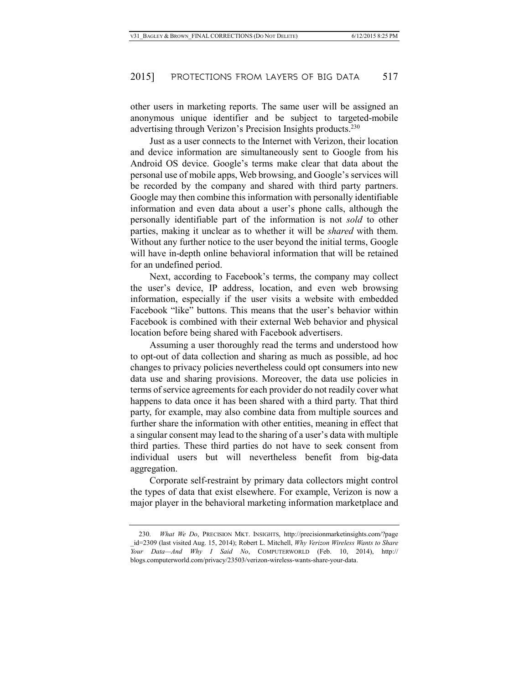other users in marketing reports. The same user will be assigned an anonymous unique identifier and be subject to targeted-mobile advertising through Verizon's Precision Insights products.<sup>230</sup>

Just as a user connects to the Internet with Verizon, their location and device information are simultaneously sent to Google from his Android OS device. Google's terms make clear that data about the personal use of mobile apps, Web browsing, and Google's services will be recorded by the company and shared with third party partners. Google may then combine this information with personally identifiable information and even data about a user's phone calls, although the personally identifiable part of the information is not *sold* to other parties, making it unclear as to whether it will be *shared* with them. Without any further notice to the user beyond the initial terms, Google will have in-depth online behavioral information that will be retained for an undefined period.

Next, according to Facebook's terms, the company may collect the user's device, IP address, location, and even web browsing information, especially if the user visits a website with embedded Facebook "like" buttons. This means that the user's behavior within Facebook is combined with their external Web behavior and physical location before being shared with Facebook advertisers.

Assuming a user thoroughly read the terms and understood how to opt-out of data collection and sharing as much as possible, ad hoc changes to privacy policies nevertheless could opt consumers into new data use and sharing provisions. Moreover, the data use policies in terms of service agreements for each provider do not readily cover what happens to data once it has been shared with a third party. That third party, for example, may also combine data from multiple sources and further share the information with other entities, meaning in effect that a singular consent may lead to the sharing of a user's data with multiple third parties. These third parties do not have to seek consent from individual users but will nevertheless benefit from big-data aggregation.

Corporate self-restraint by primary data collectors might control the types of data that exist elsewhere. For example, Verizon is now a major player in the behavioral marketing information marketplace and

<sup>230.</sup> *What We Do*, PRECISION MKT. INSIGHTS, http://precisionmarketinsights.com/?page \_id=2309 (last visited Aug. 15, 2014); Robert L. Mitchell, *Why Verizon Wireless Wants to Share Your Data—And Why I Said No*, COMPUTERWORLD (Feb. 10, 2014), http:// blogs.computerworld.com/privacy/23503/verizon-wireless-wants-share-your-data.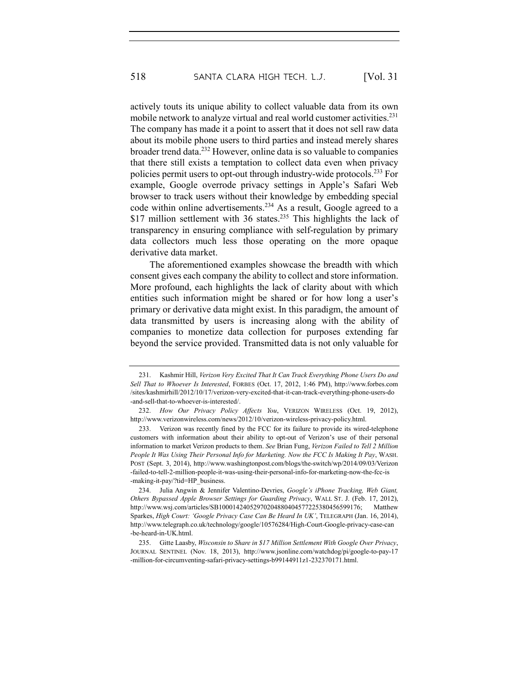actively touts its unique ability to collect valuable data from its own mobile network to analyze virtual and real world customer activities.<sup>231</sup> The company has made it a point to assert that it does not sell raw data about its mobile phone users to third parties and instead merely shares broader trend data.232 However, online data is so valuable to companies that there still exists a temptation to collect data even when privacy policies permit users to opt-out through industry-wide protocols.233 For example, Google overrode privacy settings in Apple's Safari Web browser to track users without their knowledge by embedding special code within online advertisements.234 As a result, Google agreed to a \$17 million settlement with 36 states.<sup>235</sup> This highlights the lack of transparency in ensuring compliance with self-regulation by primary data collectors much less those operating on the more opaque derivative data market.

The aforementioned examples showcase the breadth with which consent gives each company the ability to collect and store information. More profound, each highlights the lack of clarity about with which entities such information might be shared or for how long a user's primary or derivative data might exist. In this paradigm, the amount of data transmitted by users is increasing along with the ability of companies to monetize data collection for purposes extending far beyond the service provided. Transmitted data is not only valuable for

<sup>231.</sup> Kashmir Hill, *Verizon Very Excited That It Can Track Everything Phone Users Do and Sell That to Whoever Is Interested*, FORBES (Oct. 17, 2012, 1:46 PM), http://www.forbes.com /sites/kashmirhill/2012/10/17/verizon-very-excited-that-it-can-track-everything-phone-users-do -and-sell-that-to-whoever-is-interested/.

<sup>232.</sup> *How Our Privacy Policy Affects You*, VERIZON WIRELESS (Oct. 19, 2012), http://www.verizonwireless.com/news/2012/10/verizon-wireless-privacy-policy.html.

<sup>233.</sup> Verizon was recently fined by the FCC for its failure to provide its wired-telephone customers with information about their ability to opt-out of Verizon's use of their personal information to market Verizon products to them. *See* Brian Fung, *Verizon Failed to Tell 2 Million People It Was Using Their Personal Info for Marketing. Now the FCC Is Making It Pay*, WASH. POST (Sept. 3, 2014), http://www.washingtonpost.com/blogs/the-switch/wp/2014/09/03/Verizon -failed-to-tell-2-million-people-it-was-using-their-personal-info-for-marketing-now-the-fcc-is -making-it-pay/?tid=HP\_business.

<sup>234.</sup> Julia Angwin & Jennifer Valentino-Devries, *Google's iPhone Tracking, Web Giant, Others Bypassed Apple Browser Settings for Guarding Privacy*, WALL ST. J. (Feb. 17, 2012), http://www.wsj.com/articles/SB10001424052970204880404577225380456599176; Matthew Sparkes, *High Court: 'Google Privacy Case Can Be Heard In UK'*, TELEGRAPH (Jan. 16, 2014), http://www.telegraph.co.uk/technology/google/10576284/High-Court-Google-privacy-case-can -be-heard-in-UK.html.

<sup>235.</sup> Gitte Laasby, *Wisconsin to Share in \$17 Million Settlement With Google Over Privacy*, JOURNAL SENTINEL (Nov. 18, 2013), http://www.jsonline.com/watchdog/pi/google-to-pay-17 -million-for-circumventing-safari-privacy-settings-b99144911z1-232370171.html.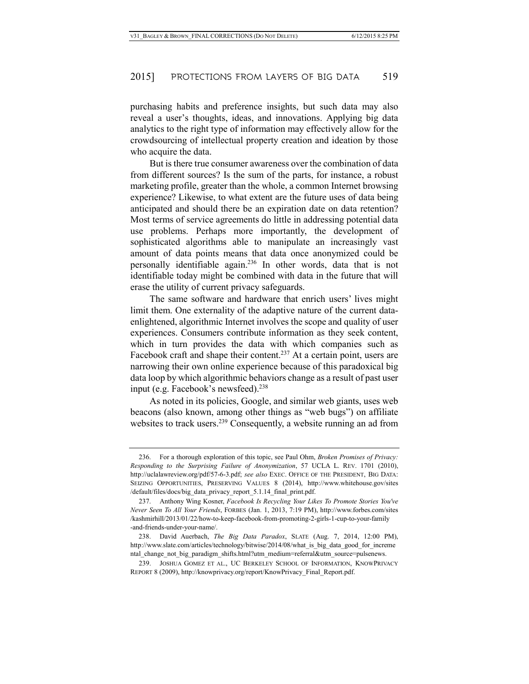purchasing habits and preference insights, but such data may also reveal a user's thoughts, ideas, and innovations. Applying big data analytics to the right type of information may effectively allow for the crowdsourcing of intellectual property creation and ideation by those who acquire the data.

But is there true consumer awareness over the combination of data from different sources? Is the sum of the parts, for instance, a robust marketing profile, greater than the whole, a common Internet browsing experience? Likewise, to what extent are the future uses of data being anticipated and should there be an expiration date on data retention? Most terms of service agreements do little in addressing potential data use problems. Perhaps more importantly, the development of sophisticated algorithms able to manipulate an increasingly vast amount of data points means that data once anonymized could be personally identifiable again.236 In other words, data that is not identifiable today might be combined with data in the future that will erase the utility of current privacy safeguards.

The same software and hardware that enrich users' lives might limit them. One externality of the adaptive nature of the current dataenlightened, algorithmic Internet involves the scope and quality of user experiences. Consumers contribute information as they seek content, which in turn provides the data with which companies such as Facebook craft and shape their content.<sup>237</sup> At a certain point, users are narrowing their own online experience because of this paradoxical big data loop by which algorithmic behaviors change as a result of past user input (e.g. Facebook's newsfeed). $238$ 

As noted in its policies, Google, and similar web giants, uses web beacons (also known, among other things as "web bugs") on affiliate websites to track users.<sup>239</sup> Consequently, a website running an ad from

<sup>236.</sup> For a thorough exploration of this topic, see Paul Ohm, *Broken Promises of Privacy: Responding to the Surprising Failure of Anonymization*, 57 UCLA L. REV. 1701 (2010), http://uclalawreview.org/pdf/57-6-3.pdf; *see also* EXEC. OFFICE OF THE PRESIDENT, BIG DATA: SEIZING OPPORTUNITIES, PRESERVING VALUES 8 (2014), http://www.whitehouse.gov/sites /default/files/docs/big\_data\_privacy\_report\_5.1.14\_final\_print.pdf.

<sup>237.</sup> Anthony Wing Kosner, *Facebook Is Recycling Your Likes To Promote Stories You've Never Seen To All Your Friends*, FORBES (Jan. 1, 2013, 7:19 PM), http://www.forbes.com/sites /kashmirhill/2013/01/22/how-to-keep-facebook-from-promoting-2-girls-1-cup-to-your-family -and-friends-under-your-name/.

<sup>238.</sup> David Auerbach, *The Big Data Paradox*, SLATE (Aug. 7, 2014, 12:00 PM), http://www.slate.com/articles/technology/bitwise/2014/08/what is big\_data\_good\_for\_increme ntal change not big paradigm shifts.html?utm\_medium=referral&utm\_source=pulsenews.

<sup>239.</sup> JOSHUA GOMEZ ET AL., UC BERKELEY SCHOOL OF INFORMATION, KNOWPRIVACY REPORT 8 (2009), http://knowprivacy.org/report/KnowPrivacy\_Final\_Report.pdf.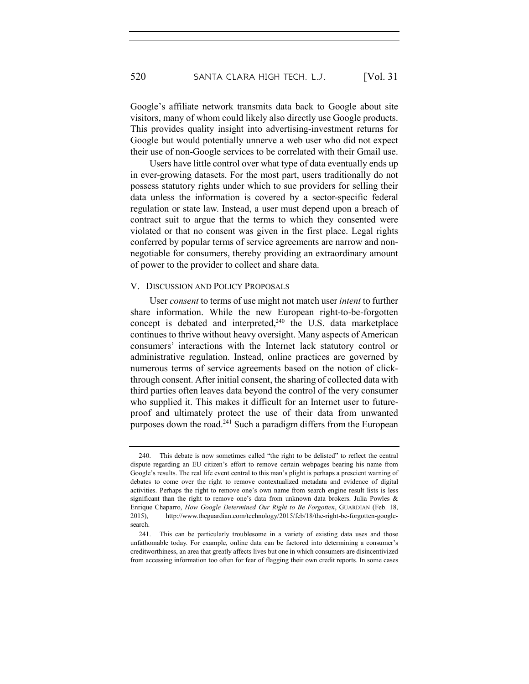Google's affiliate network transmits data back to Google about site visitors, many of whom could likely also directly use Google products. This provides quality insight into advertising-investment returns for Google but would potentially unnerve a web user who did not expect their use of non-Google services to be correlated with their Gmail use.

Users have little control over what type of data eventually ends up in ever-growing datasets. For the most part, users traditionally do not possess statutory rights under which to sue providers for selling their data unless the information is covered by a sector-specific federal regulation or state law. Instead, a user must depend upon a breach of contract suit to argue that the terms to which they consented were violated or that no consent was given in the first place. Legal rights conferred by popular terms of service agreements are narrow and nonnegotiable for consumers, thereby providing an extraordinary amount of power to the provider to collect and share data.

#### V. DISCUSSION AND POLICY PROPOSALS

User *consent* to terms of use might not match user *intent* to further share information. While the new European right-to-be-forgotten concept is debated and interpreted, $240$  the U.S. data marketplace continues to thrive without heavy oversight. Many aspects of American consumers' interactions with the Internet lack statutory control or administrative regulation. Instead, online practices are governed by numerous terms of service agreements based on the notion of clickthrough consent. After initial consent, the sharing of collected data with third parties often leaves data beyond the control of the very consumer who supplied it. This makes it difficult for an Internet user to futureproof and ultimately protect the use of their data from unwanted purposes down the road.<sup>241</sup> Such a paradigm differs from the European

<sup>240.</sup> This debate is now sometimes called "the right to be delisted" to reflect the central dispute regarding an EU citizen's effort to remove certain webpages bearing his name from Google's results. The real life event central to this man's plight is perhaps a prescient warning of debates to come over the right to remove contextualized metadata and evidence of digital activities. Perhaps the right to remove one's own name from search engine result lists is less significant than the right to remove one's data from unknown data brokers. Julia Powles & Enrique Chaparro, *How Google Determined Our Right to Be Forgotten*, GUARDIAN (Feb. 18, 2015), http://www.theguardian.com/technology/2015/feb/18/the-right-be-forgotten-googlesearch.

<sup>241.</sup> This can be particularly troublesome in a variety of existing data uses and those unfathomable today. For example, online data can be factored into determining a consumer's creditworthiness, an area that greatly affects lives but one in which consumers are disincentivized from accessing information too often for fear of flagging their own credit reports. In some cases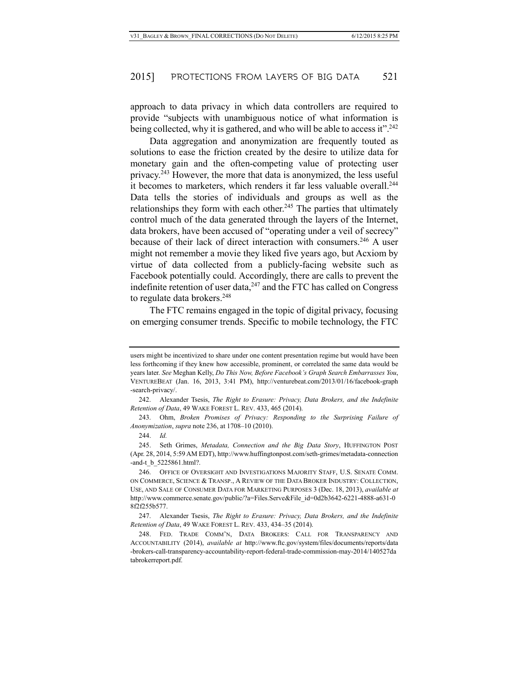approach to data privacy in which data controllers are required to provide "subjects with unambiguous notice of what information is being collected, why it is gathered, and who will be able to access it".<sup>242</sup>

Data aggregation and anonymization are frequently touted as solutions to ease the friction created by the desire to utilize data for monetary gain and the often-competing value of protecting user privacy.243 However, the more that data is anonymized, the less useful it becomes to marketers, which renders it far less valuable overall.<sup>244</sup> Data tells the stories of individuals and groups as well as the relationships they form with each other.<sup>245</sup> The parties that ultimately control much of the data generated through the layers of the Internet, data brokers, have been accused of "operating under a veil of secrecy" because of their lack of direct interaction with consumers.246 A user might not remember a movie they liked five years ago, but Acxiom by virtue of data collected from a publicly-facing website such as Facebook potentially could. Accordingly, there are calls to prevent the indefinite retention of user data, $247$  and the FTC has called on Congress to regulate data brokers.<sup>248</sup>

The FTC remains engaged in the topic of digital privacy, focusing on emerging consumer trends. Specific to mobile technology, the FTC

242. Alexander Tsesis, *The Right to Erasure: Privacy, Data Brokers, and the Indefinite Retention of Data*, 49 WAKE FOREST L. REV. 433, 465 (2014).

243. Ohm, *Broken Promises of Privacy: Responding to the Surprising Failure of Anonymization*, *supra* note 236, at 1708–10 (2010).

244. *Id.*

245. Seth Grimes, *Metadata, Connection and the Big Data Story*, HUFFINGTON POST (Apr. 28, 2014, 5:59 AM EDT), http://www.huffingtonpost.com/seth-grimes/metadata-connection -and-t\_b\_5225861.html?.

247. Alexander Tsesis, *The Right to Erasure: Privacy, Data Brokers, and the Indefinite Retention of Data*, 49 WAKE FOREST L. REV. 433, 434–35 (2014).

248. FED. TRADE COMM'N, DATA BROKERS: CALL FOR TRANSPARENCY AND ACCOUNTABILITY (2014), *available at* http://www.ftc.gov/system/files/documents/reports/data -brokers-call-transparency-accountability-report-federal-trade-commission-may-2014/140527da tabrokerreport.pdf.

users might be incentivized to share under one content presentation regime but would have been less forthcoming if they knew how accessible, prominent, or correlated the same data would be years later. *See* Meghan Kelly, *Do This Now, Before Facebook's Graph Search Embarrasses You*, VENTUREBEAT (Jan. 16, 2013, 3:41 PM), http://venturebeat.com/2013/01/16/facebook-graph -search-privacy/.

<sup>246.</sup> OFFICE OF OVERSIGHT AND INVESTIGATIONS MAJORITY STAFF, U.S. SENATE COMM. ON COMMERCE, SCIENCE & TRANSP., A REVIEW OF THE DATA BROKER INDUSTRY: COLLECTION, USE, AND SALE OF CONSUMER DATA FOR MARKETING PURPOSES 3 (Dec. 18, 2013), *available at*  http://www.commerce.senate.gov/public/?a=Files.Serve&File\_id=0d2b3642-6221-4888-a631-0 8f2f255b577.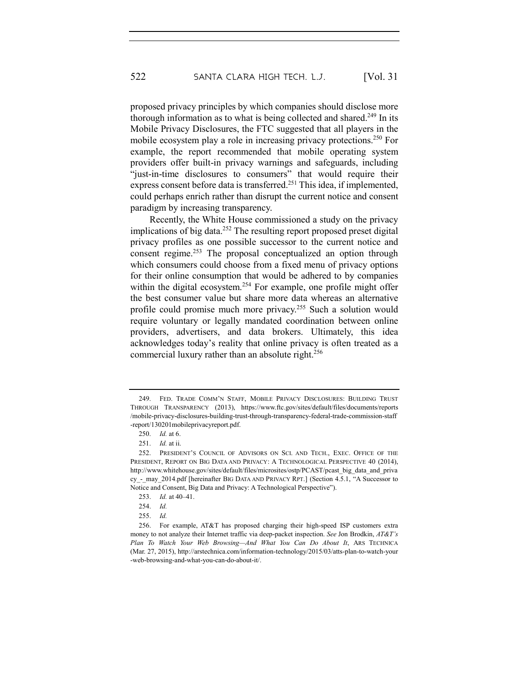proposed privacy principles by which companies should disclose more thorough information as to what is being collected and shared.<sup>249</sup> In its Mobile Privacy Disclosures, the FTC suggested that all players in the mobile ecosystem play a role in increasing privacy protections.<sup>250</sup> For example, the report recommended that mobile operating system providers offer built-in privacy warnings and safeguards, including "just-in-time disclosures to consumers" that would require their express consent before data is transferred.<sup>251</sup> This idea, if implemented, could perhaps enrich rather than disrupt the current notice and consent paradigm by increasing transparency.

Recently, the White House commissioned a study on the privacy implications of big data.<sup>252</sup> The resulting report proposed preset digital privacy profiles as one possible successor to the current notice and consent regime.253 The proposal conceptualized an option through which consumers could choose from a fixed menu of privacy options for their online consumption that would be adhered to by companies within the digital ecosystem.<sup>254</sup> For example, one profile might offer the best consumer value but share more data whereas an alternative profile could promise much more privacy.255 Such a solution would require voluntary or legally mandated coordination between online providers, advertisers, and data brokers. Ultimately, this idea acknowledges today's reality that online privacy is often treated as a commercial luxury rather than an absolute right.<sup>256</sup>

<sup>249.</sup> FED. TRADE COMM'N STAFF, MOBILE PRIVACY DISCLOSURES: BUILDING TRUST THROUGH TRANSPARENCY (2013), https://www.ftc.gov/sites/default/files/documents/reports /mobile-privacy-disclosures-building-trust-through-transparency-federal-trade-commission-staff -report/130201mobileprivacyreport.pdf.

<sup>250.</sup> *Id.* at 6.

<sup>251.</sup> *Id.* at ii.

<sup>252.</sup> PRESIDENT'S COUNCIL OF ADVISORS ON SCI. AND TECH., EXEC. OFFICE OF THE PRESIDENT, REPORT ON BIG DATA AND PRIVACY: A TECHNOLOGICAL PERSPECTIVE 40 (2014), http://www.whitehouse.gov/sites/default/files/microsites/ostp/PCAST/pcast\_big\_data\_and\_priva cy - may 2014.pdf [hereinafter BIG DATA AND PRIVACY RPT.] (Section 4.5.1, "A Successor to Notice and Consent, Big Data and Privacy: A Technological Perspective").

<sup>253.</sup> *Id.* at 40–41.

<sup>254.</sup> *Id.* 

<sup>255.</sup> *Id.*

<sup>256.</sup> For example, AT&T has proposed charging their high-speed ISP customers extra money to not analyze their Internet traffic via deep-packet inspection. *See* Jon Brodkin, *AT&T's Plan To Watch Your Web Browsing—And What You Can Do About It*, ARS TECHNICA (Mar. 27, 2015), http://arstechnica.com/information-technology/2015/03/atts-plan-to-watch-your -web-browsing-and-what-you-can-do-about-it/.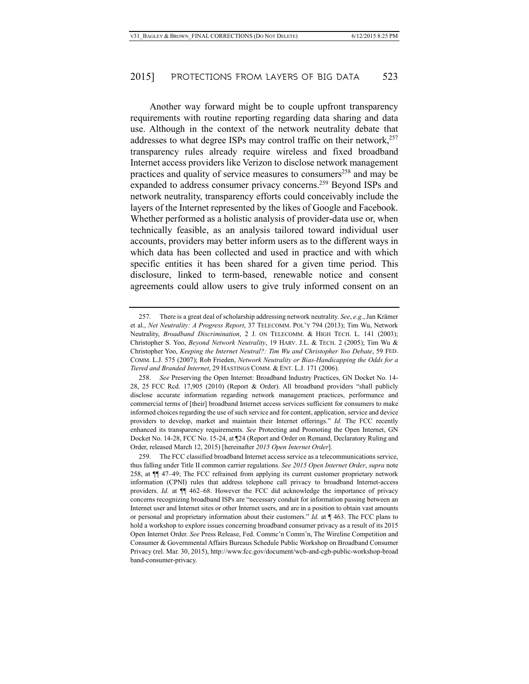Another way forward might be to couple upfront transparency requirements with routine reporting regarding data sharing and data use. Although in the context of the network neutrality debate that addresses to what degree ISPs may control traffic on their network, $257$ transparency rules already require wireless and fixed broadband Internet access providers like Verizon to disclose network management practices and quality of service measures to consumers<sup>258</sup> and may be expanded to address consumer privacy concerns. <sup>259</sup> Beyond ISPs and network neutrality, transparency efforts could conceivably include the layers of the Internet represented by the likes of Google and Facebook. Whether performed as a holistic analysis of provider-data use or, when technically feasible, as an analysis tailored toward individual user accounts, providers may better inform users as to the different ways in which data has been collected and used in practice and with which specific entities it has been shared for a given time period. This disclosure, linked to term-based, renewable notice and consent agreements could allow users to give truly informed consent on an

<sup>257.</sup> There is a great deal of scholarship addressing network neutrality. *See*, *e.g.*, Jan Krämer et al., *Net Neutrality: A Progress Report*, 37 TELECOMM. POL'Y 794 (2013); Tim Wu, Network Neutrality, *Broadband Discrimination*, 2 J. ON TELECOMM. & HIGH TECH. L. 141 (2003); Christopher S. Yoo, *Beyond Network Neutrality*, 19 HARV. J.L. & TECH. 2 (2005); Tim Wu & Christopher Yoo, *Keeping the Internet Neutral?: Tim Wu and Christopher Yoo Debate*, 59 FED. COMM. L.J. 575 (2007); Rob Frieden, *Network Neutrality or Bias-Handicapping the Odds for a Tiered and Branded Internet*, 29 HASTINGS COMM. & ENT. L.J. 171 (2006).

<sup>258.</sup> *See* Preserving the Open Internet: Broadband Industry Practices, GN Docket No. 14- 28, 25 FCC Rcd. 17,905 (2010) (Report & Order). All broadband providers "shall publicly disclose accurate information regarding network management practices, performance and commercial terms of [their] broadband Internet access services sufficient for consumers to make informed choices regarding the use of such service and for content, application, service and device providers to develop, market and maintain their Internet offerings." *Id.* The FCC recently enhanced its transparency requirements. *See* Protecting and Promoting the Open Internet, GN Docket No. 14-28, FCC No. 15-24, at ¶24 (Report and Order on Remand, Declaratory Ruling and Order, released March 12, 2015) [hereinafter *2015 Open Internet Order*].

<sup>259.</sup> The FCC classified broadband Internet access service as a telecommunications service, thus falling under Title II common carrier regulations. *See 2015 Open Internet Order*, *supra* note 258, at ¶¶ 47–49; The FCC refrained from applying its current customer proprietary network information (CPNI) rules that address telephone call privacy to broadband Internet-access providers. *Id.* at ¶¶ 462–68. However the FCC did acknowledge the importance of privacy concerns recognizing broadband ISPs are "necessary conduit for information passing between an Internet user and Internet sites or other Internet users, and are in a position to obtain vast amounts or personal and proprietary information about their customers." *Id.* at ¶ 463. The FCC plans to hold a workshop to explore issues concerning broadband consumer privacy as a result of its 2015 Open Internet Order. *See* Press Release, Fed. Commc'n Comm'n, The Wireline Competition and Consumer & Governmental Affairs Bureaus Schedule Public Workshop on Broadband Consumer Privacy (rel. Mar. 30, 2015), http://www.fcc.gov/document/wcb-and-cgb-public-workshop-broad band-consumer-privacy.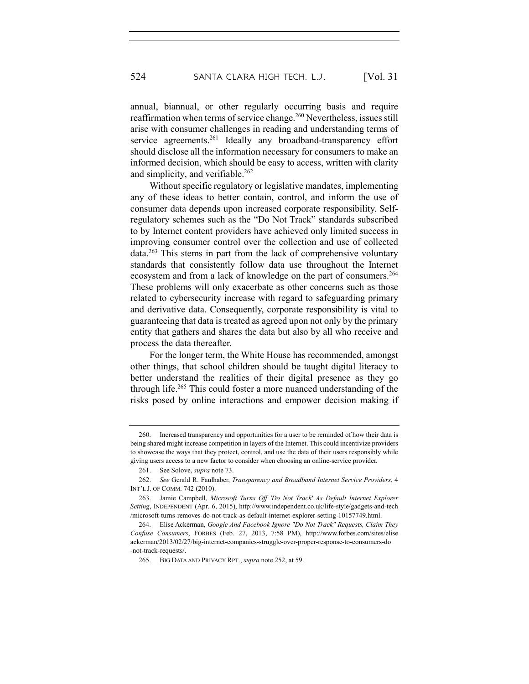annual, biannual, or other regularly occurring basis and require reaffirmation when terms of service change. <sup>260</sup> Nevertheless, issues still arise with consumer challenges in reading and understanding terms of service agreements.<sup>261</sup> Ideally any broadband-transparency effort should disclose all the information necessary for consumers to make an informed decision, which should be easy to access, written with clarity and simplicity, and verifiable.<sup>262</sup>

Without specific regulatory or legislative mandates, implementing any of these ideas to better contain, control, and inform the use of consumer data depends upon increased corporate responsibility. Selfregulatory schemes such as the "Do Not Track" standards subscribed to by Internet content providers have achieved only limited success in improving consumer control over the collection and use of collected data.263 This stems in part from the lack of comprehensive voluntary standards that consistently follow data use throughout the Internet ecosystem and from a lack of knowledge on the part of consumers.<sup>264</sup> These problems will only exacerbate as other concerns such as those related to cybersecurity increase with regard to safeguarding primary and derivative data. Consequently, corporate responsibility is vital to guaranteeing that data is treated as agreed upon not only by the primary entity that gathers and shares the data but also by all who receive and process the data thereafter.

For the longer term, the White House has recommended, amongst other things, that school children should be taught digital literacy to better understand the realities of their digital presence as they go through life.265 This could foster a more nuanced understanding of the risks posed by online interactions and empower decision making if

<sup>260.</sup> Increased transparency and opportunities for a user to be reminded of how their data is being shared might increase competition in layers of the Internet. This could incentivize providers to showcase the ways that they protect, control, and use the data of their users responsibly while giving users access to a new factor to consider when choosing an online-service provider.

<sup>261.</sup> See Solove, *supra* note 73.

<sup>262.</sup> *See* Gerald R. Faulhaber, *Transparency and Broadband Internet Service Providers*, 4 INT'L J. OF COMM. 742 (2010).

<sup>263.</sup> Jamie Campbell, *Microsoft Turns Off 'Do Not Track' As Default Internet Explorer Setting*, INDEPENDENT (Apr. 6, 2015), http://www.independent.co.uk/life-style/gadgets-and-tech /microsoft-turns-removes-do-not-track-as-default-internet-explorer-setting-10157749.html.

<sup>264.</sup> Elise Ackerman, *Google And Facebook Ignore "Do Not Track" Requests, Claim They Confuse Consumers*, FORBES (Feb. 27, 2013, 7:58 PM), http://www.forbes.com/sites/elise ackerman/2013/02/27/big-internet-companies-struggle-over-proper-response-to-consumers-do -not-track-requests/.

<sup>265.</sup> BIG DATA AND PRIVACY RPT., *supra* note 252, at 59.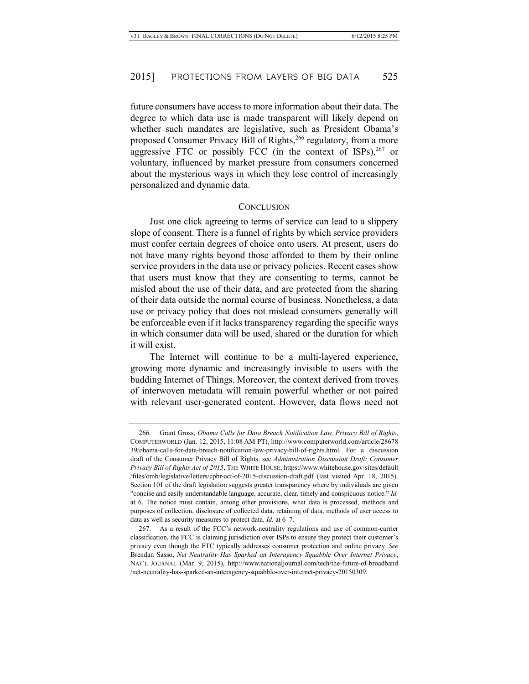future consumers have access to more information about their data. The degree to which data use is made transparent will likely depend on whether such mandates are legislative, such as President Obama's proposed Consumer Privacy Bill of Rights,<sup>266</sup> regulatory, from a more aggressive FTC or possibly FCC (in the context of ISPs),<sup>267</sup> or voluntary, influenced by market pressure from consumers concerned about the mysterious ways in which they lose control of increasingly personalized and dynamic data.

#### **CONCLUSION**

Just one click agreeing to terms of service can lead to a slippery slope of consent. There is a funnel of rights by which service providers must confer certain degrees of choice onto users. At present, users do not have many rights beyond those afforded to them by their online service providers in the data use or privacy policies. Recent cases show that users must know that they are consenting to terms, cannot be misled about the use of their data, and are protected from the sharing of their data outside the normal course of business. Nonetheless, a data use or privacy policy that does not mislead consumers generally will be enforceable even if it lacks transparency regarding the specific ways in which consumer data will be used, shared or the duration for which it will exist.

The Internet will continue to be a multi-layered experience, growing more dynamic and increasingly invisible to users with the budding Internet of Things. Moreover, the context derived from troves of interwoven metadata will remain powerful whether or not paired with relevant user-generated content. However, data flows need not

<sup>266.</sup> Grant Gross, *Obama Calls for Data Breach Notification Law, Privacy Bill of Rights*, COMPUTERWORLD (Jan. 12, 2015, 11:08 AM PT), http://www.computerworld.com/article/28678 39/obama-calls-for-data-breach-notification-law-privacy-bill-of-rights.html. For a discussion draft of the Consumer Privacy Bill of Rights, see *Administration Discussion Draft: Consumer Privacy Bill of Rights Act of 2015*, THE WHITE HOUSE, https://www.whitehouse.gov/sites/default /files/omb/legislative/letters/cpbr-act-of-2015-discussion-draft.pdf (last visited Apr. 18, 2015). Section 101 of the draft legislation suggests greater transparency where by individuals are given "concise and easily understandable language, accurate, clear, timely and conspicuous notice." *Id.* at 6. The notice must contain, among other provisions, what data is processed, methods and purposes of collection, disclosure of collected data, retaining of data, methods of user access to data as well as security measures to protect data. *Id.* at 6–7.

<sup>267.</sup> As a result of the FCC's network-neutrality regulations and use of common-carrier classification, the FCC is claiming jurisdiction over ISPs to ensure they protect their customer's privacy even though the FTC typically addresses consumer protection and online privacy. *See* Brendan Sasso, *Net Neutrality Has Sparked an Interagency Squabble Over Internet Privacy*, NAT'L JOURNAL (Mar. 9, 2015), http://www.nationaljournal.com/tech/the-future-of-broadband /net-neutrality-has-sparked-an-interagency-squabble-over-internet-privacy-20150309.